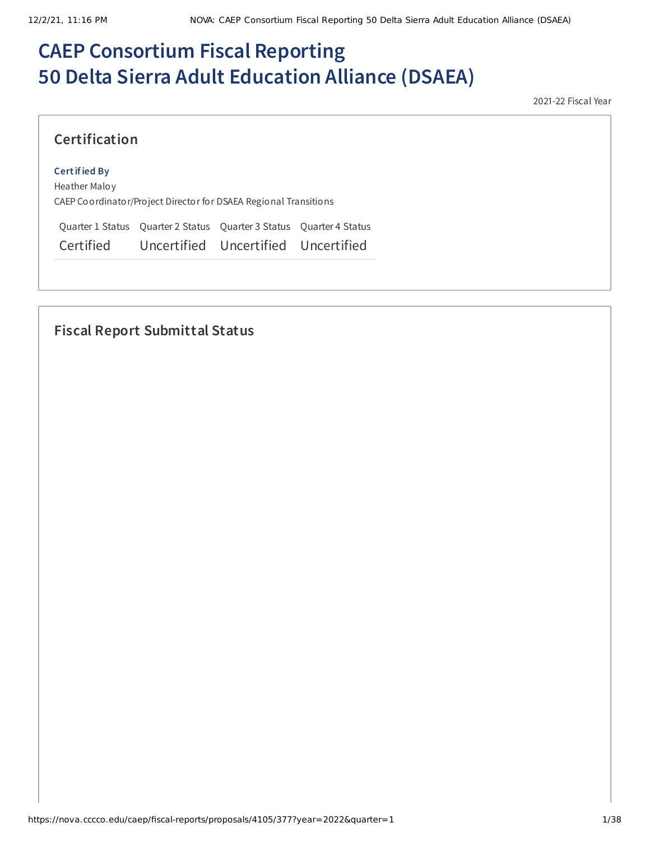# **CAEP Consortium Fiscal Reporting 50 Delta Sierra Adult Education Alliance (DSAEA)**

2021-22 Fiscal Year

# **Certification**

#### **Certified By**

Heather Maloy CAEP Coordinator/Project Director for DSAEA Regional Transitions

Quarter 1 Status Quarter 2 Status Quarter 3 Status Quarter 4 Status Certified Uncertified Uncertified Uncertified

# **Fiscal Report Submittal Status**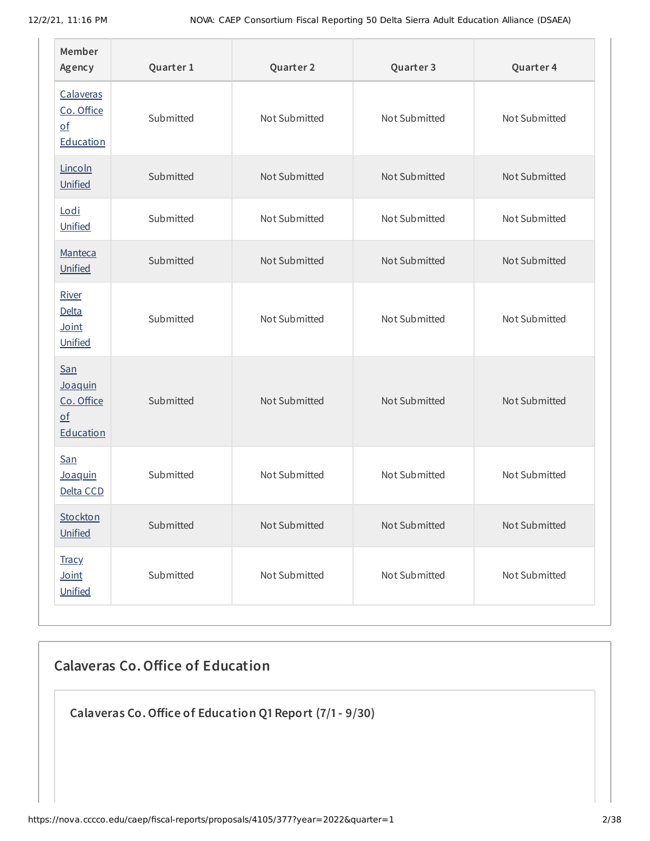| Member<br>Agency                                                       | Quarter 1 | Quarter 2     | Quarter 3     | Quarter 4     |
|------------------------------------------------------------------------|-----------|---------------|---------------|---------------|
| Calaveras<br>Co. Office<br>$\underline{\mathsf{of}}$<br>Education      | Submitted | Not Submitted | Not Submitted | Not Submitted |
| Lincoln<br>Unified                                                     | Submitted | Not Submitted | Not Submitted | Not Submitted |
| Lodi<br>Unified                                                        | Submitted | Not Submitted | Not Submitted | Not Submitted |
| Manteca<br>Unified                                                     | Submitted | Not Submitted | Not Submitted | Not Submitted |
| River<br><b>Delta</b><br>Joint<br>Unified                              | Submitted | Not Submitted | Not Submitted | Not Submitted |
| San<br>Joaquin<br>Co. Office<br>$\underline{\mathsf{of}}$<br>Education | Submitted | Not Submitted | Not Submitted | Not Submitted |
| <b>San</b><br>Joaquin<br>Delta CCD                                     | Submitted | Not Submitted | Not Submitted | Not Submitted |
| <b>Stockton</b><br>Unified                                             | Submitted | Not Submitted | Not Submitted | Not Submitted |
| <b>Tracy</b><br>$Joint$<br>Unified                                     | Submitted | Not Submitted | Not Submitted | Not Submitted |

# **Calaveras Co.Office of Education**

**Calaveras Co.Office of Education Q1 Report (7/1- 9/30)**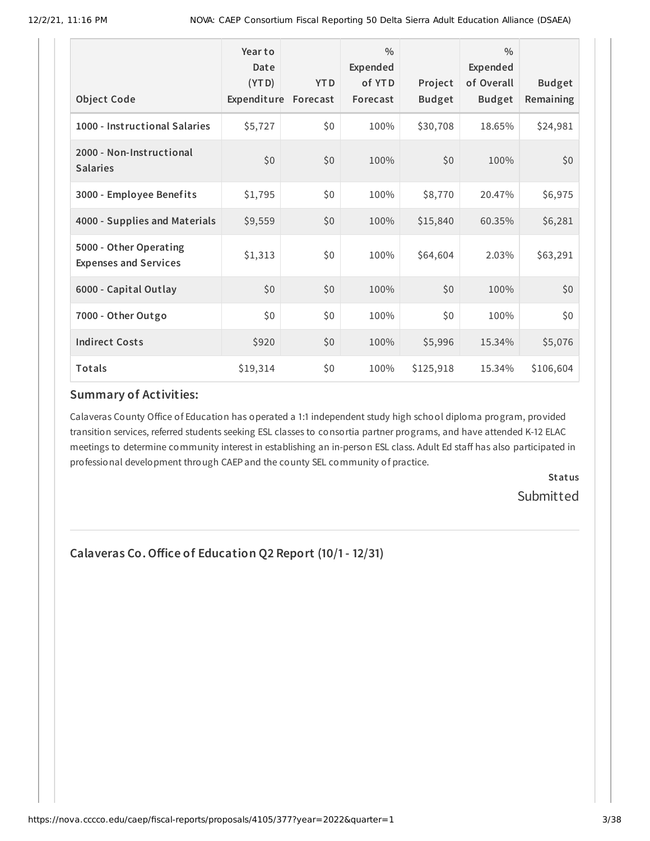| <b>Object Code</b>                                     | Year to<br>Date<br>(YTD)<br>Expenditure | <b>YTD</b><br>Forecast | $\frac{0}{0}$<br>Expended<br>of YTD<br>Forecast | Project<br><b>Budget</b> | $\frac{0}{0}$<br>Expended<br>of Overall<br><b>Budget</b> | <b>Budget</b><br>Remaining |
|--------------------------------------------------------|-----------------------------------------|------------------------|-------------------------------------------------|--------------------------|----------------------------------------------------------|----------------------------|
| 1000 - Instructional Salaries                          | \$5,727                                 | \$0                    | 100%                                            | \$30,708                 | 18.65%                                                   | \$24,981                   |
| 2000 - Non-Instructional<br><b>Salaries</b>            | \$0                                     | \$0                    | 100%                                            | \$0                      | 100%                                                     | \$0                        |
| 3000 - Employee Benefits                               | \$1,795                                 | \$0                    | 100%                                            | \$8,770                  | 20.47%                                                   | \$6,975                    |
| 4000 - Supplies and Materials                          | \$9,559                                 | \$0                    | 100%                                            | \$15,840                 | 60.35%                                                   | \$6,281                    |
| 5000 - Other Operating<br><b>Expenses and Services</b> | \$1,313                                 | \$0                    | 100%                                            | \$64,604                 | 2.03%                                                    | \$63,291                   |
| 6000 - Capital Outlay                                  | \$0                                     | \$0                    | 100%                                            | \$0                      | 100%                                                     | \$0                        |
| 7000 - Other Outgo                                     | \$0                                     | \$0                    | 100%                                            | \$0                      | 100%                                                     | \$0\$                      |
| <b>Indirect Costs</b>                                  | \$920                                   | \$0                    | 100%                                            | \$5,996                  | 15.34%                                                   | \$5,076                    |
| Totals                                                 | \$19,314                                | \$0                    | 100%                                            | \$125,918                | 15.34%                                                   | \$106,604                  |

#### **Summary of Activities:**

Calaveras County Office of Education has operated a 1:1 independent study high school diploma program, provided transition services, referred students seeking ESL classes to consortia partner programs, and have attended K-12 ELAC meetings to determine community interest in establishing an in-person ESL class. Adult Ed staff has also participated in professional development through CAEP and the county SEL community of practice.

> **Status** Submitted

**Calaveras Co.Office of Education Q2 Report (10/1- 12/31)**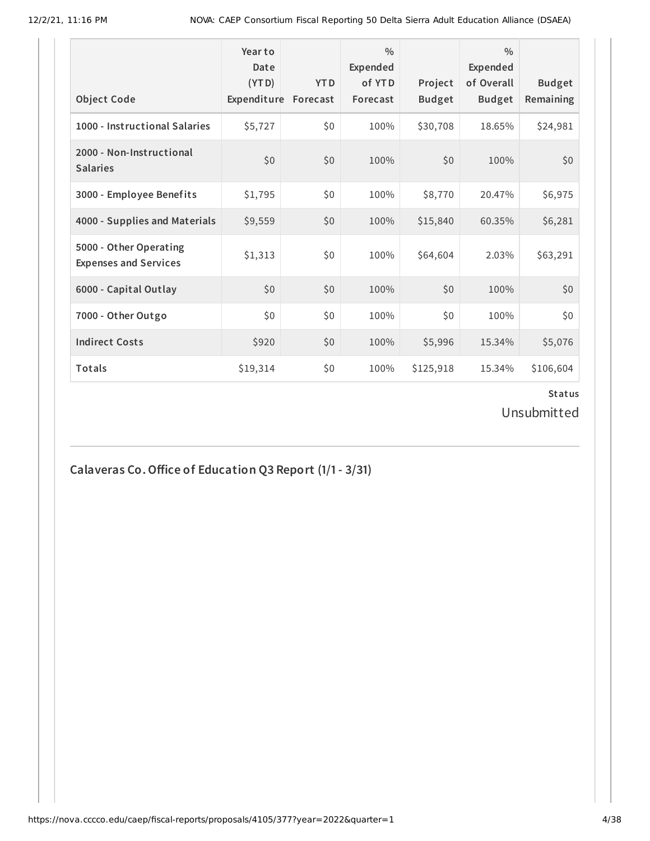| <b>Object Code</b>                                     | Year to<br>Date<br>(YTD)<br>Expenditure | <b>YTD</b><br>Forecast | $\frac{0}{0}$<br>Expended<br>of YTD<br>Forecast | Project<br><b>Budget</b> | $\frac{0}{0}$<br>Expended<br>of Overall<br><b>Budget</b> | <b>Budget</b><br>Remaining |
|--------------------------------------------------------|-----------------------------------------|------------------------|-------------------------------------------------|--------------------------|----------------------------------------------------------|----------------------------|
| 1000 - Instructional Salaries                          | \$5,727                                 | \$0                    | 100%                                            | \$30,708                 | 18.65%                                                   | \$24,981                   |
| 2000 - Non-Instructional<br><b>Salaries</b>            | \$0                                     | \$0                    | 100%                                            | \$0                      | 100%                                                     | \$0                        |
| 3000 - Employee Benefits                               | \$1,795                                 | \$0                    | 100%                                            | \$8,770                  | 20.47%                                                   | \$6,975                    |
| 4000 - Supplies and Materials                          | \$9,559                                 | \$0                    | 100%                                            | \$15,840                 | 60.35%                                                   | \$6,281                    |
| 5000 - Other Operating<br><b>Expenses and Services</b> | \$1,313                                 | \$0                    | 100%                                            | \$64,604                 | 2.03%                                                    | \$63,291                   |
| 6000 - Capital Outlay                                  | \$0                                     | \$0                    | 100%                                            | \$0                      | 100%                                                     | \$0                        |
| 7000 - Other Outgo                                     | \$0                                     | \$0                    | 100%                                            | \$0                      | 100%                                                     | \$0                        |
| <b>Indirect Costs</b>                                  | \$920                                   | \$0                    | 100%                                            | \$5,996                  | 15.34%                                                   | \$5,076                    |
| Totals                                                 | \$19,314                                | \$0                    | 100%                                            | \$125,918                | 15.34%                                                   | \$106,604                  |

Unsubmitted

**Calaveras Co.Office of Education Q3 Report (1/1- 3/31)**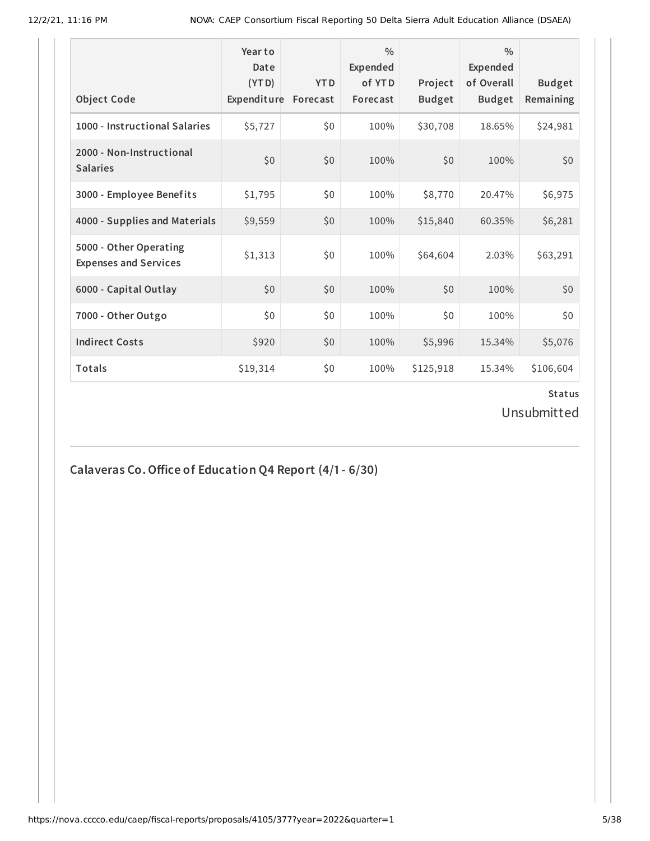|                                                        | Year to<br>Date<br>(YTD) | <b>YTD</b> | $\frac{0}{0}$<br>Expended<br>of YTD | Project       | $\frac{0}{0}$<br>Expended<br>of Overall | <b>Budget</b> |
|--------------------------------------------------------|--------------------------|------------|-------------------------------------|---------------|-----------------------------------------|---------------|
| <b>Object Code</b>                                     | Expenditure              | Forecast   | Forecast                            | <b>Budget</b> | <b>Budget</b>                           | Remaining     |
| 1000 - Instructional Salaries                          | \$5,727                  | \$0        | 100%                                | \$30,708      | 18.65%                                  | \$24,981      |
| 2000 - Non-Instructional<br><b>Salaries</b>            | \$0                      | \$0        | 100%                                | \$0           | 100%                                    | \$0           |
| 3000 - Employee Benefits                               | \$1,795                  | \$0        | 100%                                | \$8,770       | 20.47%                                  | \$6,975       |
| 4000 - Supplies and Materials                          | \$9,559                  | \$0        | 100%                                | \$15,840      | 60.35%                                  | \$6,281       |
| 5000 - Other Operating<br><b>Expenses and Services</b> | \$1,313                  | \$0        | 100%                                | \$64,604      | 2.03%                                   | \$63,291      |
| 6000 - Capital Outlay                                  | \$0                      | \$0        | 100%                                | \$0           | 100%                                    | \$0           |
| 7000 - Other Outgo                                     | \$0\$                    | \$0        | 100%                                | \$0           | 100%                                    | \$0           |
| <b>Indirect Costs</b>                                  | \$920                    | \$0        | 100%                                | \$5,996       | 15.34%                                  | \$5,076       |
| <b>Totals</b>                                          | \$19,314                 | \$0        | 100%                                | \$125,918     | 15.34%                                  | \$106,604     |

Unsubmitted

**Calaveras Co.Office of Education Q4 Report (4/1- 6/30)**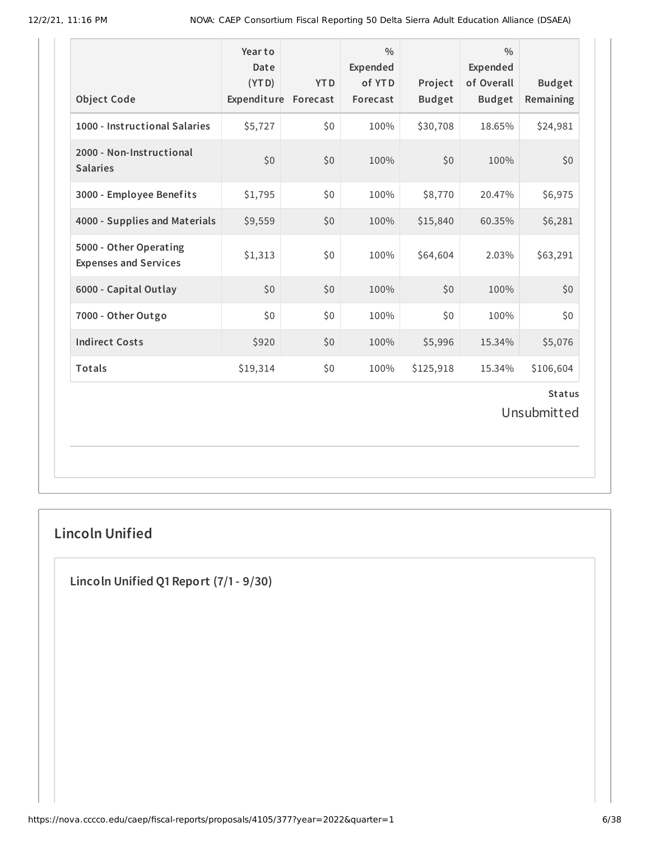| <b>Object Code</b>                                     | Year to<br>Date<br>(YTD)<br>Expenditure Forecast | <b>YTD</b> | $\frac{0}{0}$<br>Expended<br>of YTD<br>Forecast | Project<br><b>Budget</b> | $\frac{0}{0}$<br>Expended<br>of Overall<br><b>Budget</b> | <b>Budget</b><br>Remaining |  |
|--------------------------------------------------------|--------------------------------------------------|------------|-------------------------------------------------|--------------------------|----------------------------------------------------------|----------------------------|--|
| 1000 - Instructional Salaries                          | \$5,727                                          | \$0        | 100%                                            | \$30,708                 | 18.65%                                                   | \$24,981                   |  |
| 2000 - Non-Instructional<br><b>Salaries</b>            | \$0                                              | \$0        | 100%                                            | \$0                      | 100%                                                     | \$0                        |  |
| 3000 - Employee Benefits                               | \$1,795                                          | \$0        | 100%                                            | \$8,770                  | 20.47%                                                   | \$6,975                    |  |
| 4000 - Supplies and Materials                          | \$9,559                                          | \$0        | 100%                                            | \$15,840                 | 60.35%                                                   | \$6,281                    |  |
| 5000 - Other Operating<br><b>Expenses and Services</b> | \$1,313                                          | \$0        | 100%                                            | \$64,604                 | 2.03%                                                    | \$63,291                   |  |
| 6000 - Capital Outlay                                  | \$0                                              | \$0        | 100%                                            | \$0                      | 100%                                                     | \$0                        |  |
| 7000 - Other Outgo                                     | \$0                                              | \$0        | 100%                                            | \$0                      | 100%                                                     | \$0                        |  |
| <b>Indirect Costs</b>                                  | \$920                                            | \$0        | 100%                                            | \$5,996                  | 15.34%                                                   | \$5,076                    |  |
| <b>Totals</b>                                          | \$19,314                                         | \$0        | 100%                                            | \$125,918                | 15.34%                                                   | \$106,604                  |  |
| <b>Status</b><br>Unsubmitted                           |                                                  |            |                                                 |                          |                                                          |                            |  |

# **Lincoln Unified**

**Lincoln Unified Q1 Report (7/1- 9/30)**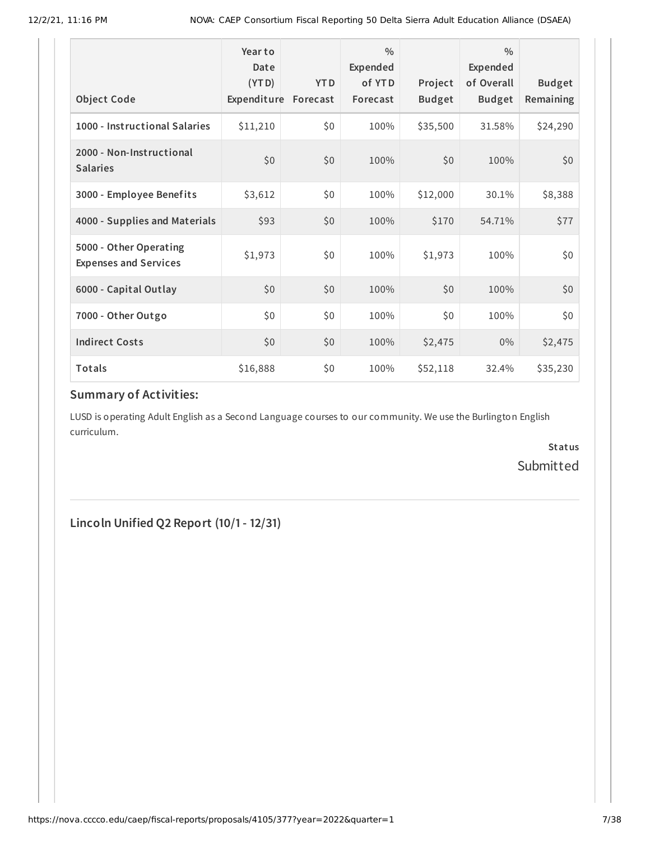| <b>Object Code</b>                                     | Year to<br>Date<br>(YTD)<br>Expenditure | <b>YTD</b><br>Forecast | $\frac{0}{0}$<br>Expended<br>of YTD<br>Forecast | Project<br><b>Budget</b> | $\frac{0}{0}$<br>Expended<br>of Overall<br><b>Budget</b> | <b>Budget</b><br>Remaining |
|--------------------------------------------------------|-----------------------------------------|------------------------|-------------------------------------------------|--------------------------|----------------------------------------------------------|----------------------------|
| 1000 - Instructional Salaries                          | \$11,210                                | \$0                    | 100%                                            | \$35,500                 | 31.58%                                                   | \$24,290                   |
| 2000 - Non-Instructional<br><b>Salaries</b>            | \$0                                     | \$0                    | 100%                                            | \$0                      | 100%                                                     | \$0                        |
| 3000 - Employee Benefits                               | \$3,612                                 | \$0                    | 100%                                            | \$12,000                 | 30.1%                                                    | \$8,388                    |
| 4000 - Supplies and Materials                          | \$93                                    | \$0                    | 100%                                            | \$170                    | 54.71%                                                   | \$77                       |
| 5000 - Other Operating<br><b>Expenses and Services</b> | \$1,973                                 | \$0                    | 100%                                            | \$1,973                  | 100%                                                     | \$0                        |
| 6000 - Capital Outlay                                  | \$0                                     | \$0                    | 100%                                            | \$0                      | 100%                                                     | \$0                        |
| 7000 - Other Outgo                                     | \$0                                     | \$0                    | 100%                                            | \$0\$                    | 100%                                                     | \$0                        |
| <b>Indirect Costs</b>                                  | \$0                                     | \$0                    | 100%                                            | \$2,475                  | $0\%$                                                    | \$2,475                    |
| Totals                                                 | \$16,888                                | \$0                    | 100%                                            | \$52,118                 | 32.4%                                                    | \$35,230                   |

### **Summary of Activities:**

LUSD is operating Adult English as a Second Language courses to our community. We use the Burlington English curriculum.

> **Status** Submitted

**Lincoln Unified Q2 Report (10/1- 12/31)**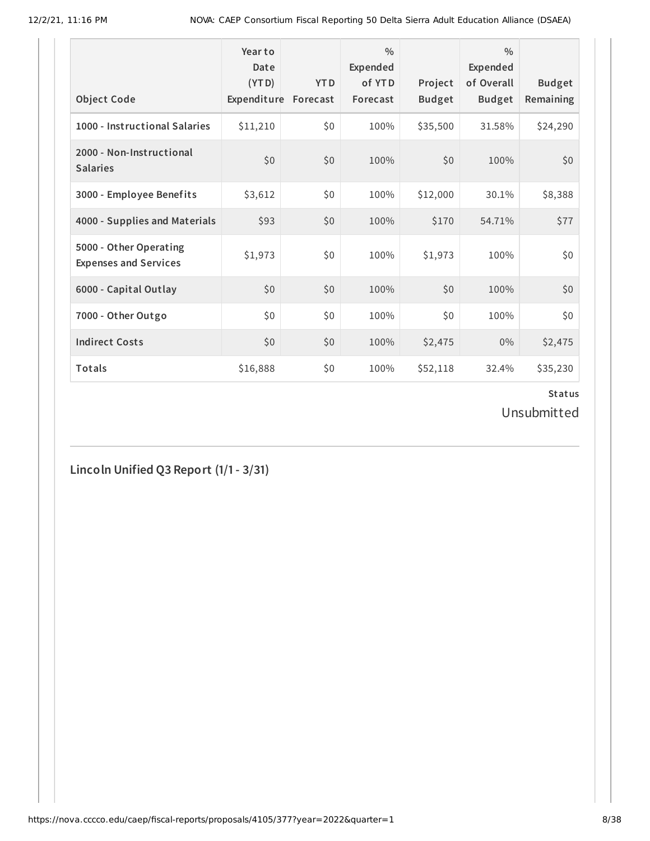| <b>Object Code</b>                                     | Year to<br>Date<br>(YTD)<br>Expenditure | <b>YTD</b><br>Forecast | $\frac{0}{0}$<br>Expended<br>of YTD<br>Forecast | Project<br><b>Budget</b> | $\frac{0}{0}$<br>Expended<br>of Overall<br><b>Budget</b> | <b>Budget</b><br>Remaining |
|--------------------------------------------------------|-----------------------------------------|------------------------|-------------------------------------------------|--------------------------|----------------------------------------------------------|----------------------------|
| 1000 - Instructional Salaries                          | \$11,210                                | \$0                    | 100%                                            | \$35,500                 | 31.58%                                                   | \$24,290                   |
| 2000 - Non-Instructional<br><b>Salaries</b>            | \$0                                     | \$0                    | 100%                                            | \$0                      | 100%                                                     | \$0                        |
| 3000 - Employee Benefits                               | \$3,612                                 | \$0                    | 100%                                            | \$12,000                 | 30.1%                                                    | \$8,388                    |
| 4000 - Supplies and Materials                          | \$93                                    | \$0                    | 100%                                            | \$170                    | 54.71%                                                   | \$77                       |
| 5000 - Other Operating<br><b>Expenses and Services</b> | \$1,973                                 | \$0                    | 100%                                            | \$1,973                  | 100%                                                     | \$0                        |
| 6000 - Capital Outlay                                  | \$0                                     | \$0                    | 100%                                            | \$0                      | 100%                                                     | \$0                        |
| 7000 - Other Outgo                                     | \$0                                     | \$0                    | 100%                                            | \$0                      | 100%                                                     | \$0                        |
| <b>Indirect Costs</b>                                  | \$0                                     | \$0                    | 100%                                            | \$2,475                  | $0\%$                                                    | \$2,475                    |
| Totals                                                 | \$16,888                                | \$0                    | 100%                                            | \$52,118                 | 32.4%                                                    | \$35,230                   |

Unsubmitted

**Lincoln Unified Q3 Report (1/1- 3/31)**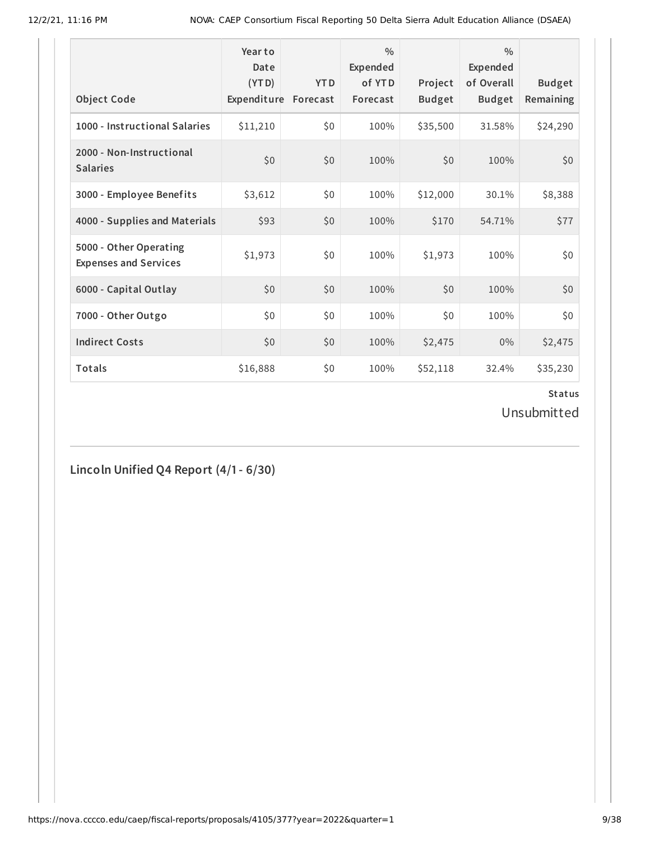| <b>Object Code</b>                                     | Year to<br>Date<br>(YTD)<br>Expenditure | <b>YTD</b><br>Forecast | $\frac{0}{0}$<br>Expended<br>of YTD<br>Forecast | Project<br><b>Budget</b> | $\frac{0}{0}$<br>Expended<br>of Overall<br><b>Budget</b> | <b>Budget</b><br>Remaining |
|--------------------------------------------------------|-----------------------------------------|------------------------|-------------------------------------------------|--------------------------|----------------------------------------------------------|----------------------------|
| 1000 - Instructional Salaries                          | \$11,210                                | \$0                    | 100%                                            | \$35,500                 | 31.58%                                                   | \$24,290                   |
| 2000 - Non-Instructional<br><b>Salaries</b>            | \$0                                     | \$0                    | 100%                                            | \$0                      | 100%                                                     | \$0                        |
| 3000 - Employee Benefits                               | \$3,612                                 | \$0                    | 100%                                            | \$12,000                 | 30.1%                                                    | \$8,388                    |
| 4000 - Supplies and Materials                          | \$93                                    | \$0                    | 100%                                            | \$170                    | 54.71%                                                   | \$77                       |
| 5000 - Other Operating<br><b>Expenses and Services</b> | \$1,973                                 | \$0                    | 100%                                            | \$1,973                  | 100%                                                     | \$0                        |
| 6000 - Capital Outlay                                  | \$0                                     | \$0                    | 100%                                            | \$0                      | 100%                                                     | \$0                        |
| 7000 - Other Outgo                                     | \$0                                     | \$0                    | 100%                                            | \$0                      | 100%                                                     | \$0                        |
| <b>Indirect Costs</b>                                  | \$0                                     | \$0                    | 100%                                            | \$2,475                  | $0\%$                                                    | \$2,475                    |
| Totals                                                 | \$16,888                                | \$0                    | 100%                                            | \$52,118                 | 32.4%                                                    | \$35,230                   |

Unsubmitted

**Lincoln Unified Q4 Report (4/1- 6/30)**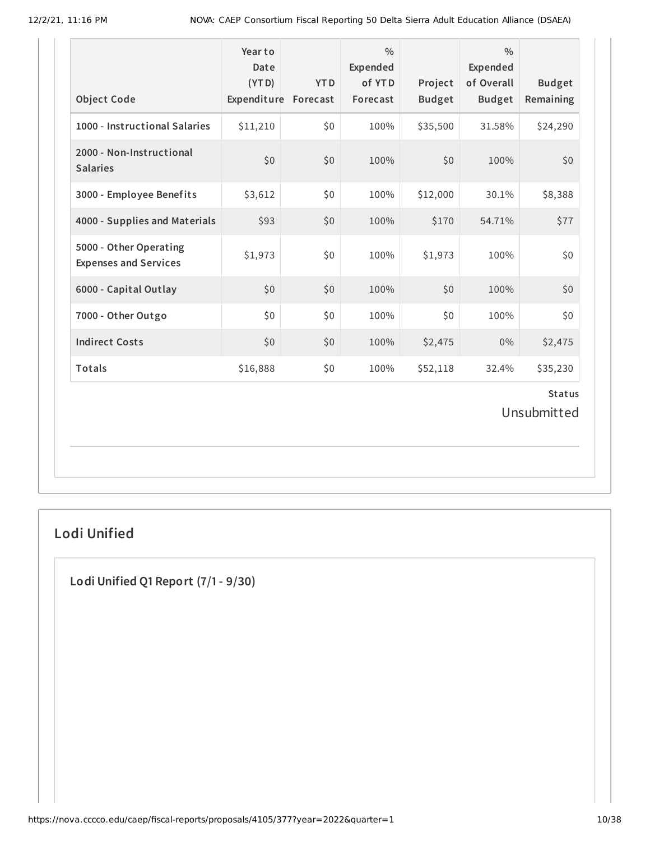| <b>Object Code</b>                                     | Year to<br>Date<br>(YTD)<br>Expenditure | <b>YTD</b><br>Forecast | $\frac{0}{0}$<br>Expended<br>of YTD<br>Forecast | Project<br><b>Budget</b> | $\frac{0}{0}$<br>Expended<br>of Overall<br><b>Budget</b> | <b>Budget</b><br>Remaining |
|--------------------------------------------------------|-----------------------------------------|------------------------|-------------------------------------------------|--------------------------|----------------------------------------------------------|----------------------------|
| 1000 - Instructional Salaries                          | \$11,210                                | \$0                    | 100%                                            | \$35,500                 | 31.58%                                                   | \$24,290                   |
| 2000 - Non-Instructional<br><b>Salaries</b>            | \$0                                     | \$0                    | 100%                                            | \$0                      | 100%                                                     | \$0                        |
| 3000 - Employee Benefits                               | \$3,612                                 | \$0                    | 100%                                            | \$12,000                 | 30.1%                                                    | \$8,388                    |
| 4000 - Supplies and Materials                          | \$93                                    | \$0                    | 100%                                            | \$170                    | 54.71%                                                   | \$77                       |
| 5000 - Other Operating<br><b>Expenses and Services</b> | \$1,973                                 | \$0                    | 100%                                            | \$1,973                  | 100%                                                     | \$0                        |
| 6000 - Capital Outlay                                  | \$0                                     | \$0                    | 100%                                            | \$0                      | 100%                                                     | \$0                        |
| 7000 - Other Outgo                                     | \$0                                     | \$0                    | 100%                                            | \$0                      | 100%                                                     | \$0                        |
| <b>Indirect Costs</b>                                  | \$0                                     | \$0                    | 100%                                            | \$2,475                  | $0\%$                                                    | \$2,475                    |
| <b>Totals</b>                                          | \$16,888                                | \$0                    | 100%                                            | \$52,118                 | 32.4%                                                    | \$35,230                   |
| <b>Status</b><br>Unsubmitted                           |                                         |                        |                                                 |                          |                                                          |                            |

# **Lodi Unified**

**Lodi Unified Q1 Report (7/1- 9/30)**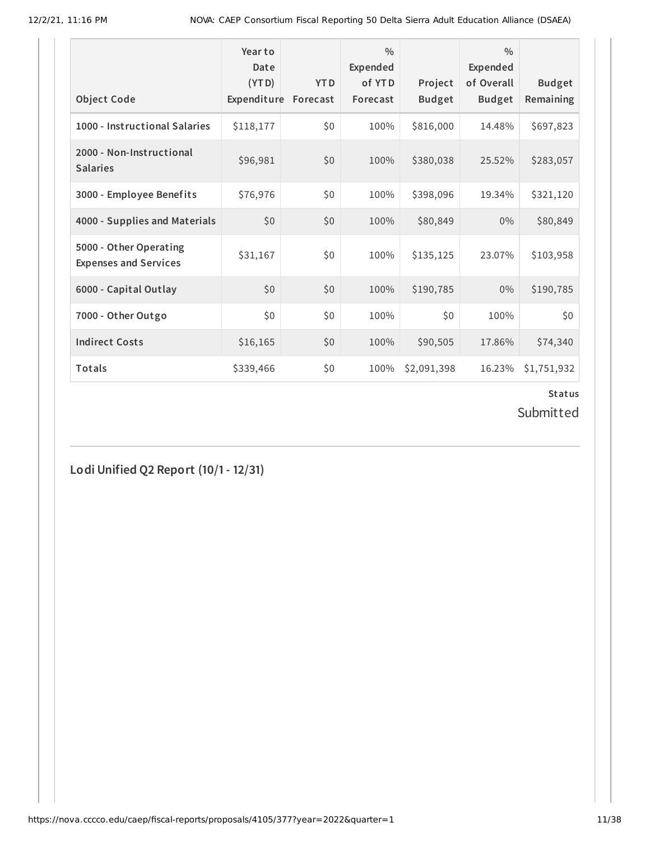|                                                        | Year to<br>Date<br>(YTD) | <b>YTD</b> | $\frac{0}{0}$<br>Expended<br>of YTD | Project       | $\frac{0}{0}$<br>Expended<br>of Overall | <b>Budget</b> |
|--------------------------------------------------------|--------------------------|------------|-------------------------------------|---------------|-----------------------------------------|---------------|
| <b>Object Code</b>                                     | Expenditure              | Forecast   | Forecast                            | <b>Budget</b> | <b>Budget</b>                           | Remaining     |
| 1000 - Instructional Salaries                          | \$118,177                | \$0        | 100%                                | \$816,000     | 14.48%                                  | \$697,823     |
| 2000 - Non-Instructional<br><b>Salaries</b>            | \$96,981                 | \$0        | 100%                                | \$380,038     | 25.52%                                  | \$283,057     |
| 3000 - Employee Benefits                               | \$76,976                 | \$0        | 100%                                | \$398,096     | 19.34%                                  | \$321,120     |
| 4000 - Supplies and Materials                          | \$0                      | \$0        | 100%                                | \$80,849      | $0\%$                                   | \$80,849      |
| 5000 - Other Operating<br><b>Expenses and Services</b> | \$31,167                 | \$0        | 100%                                | \$135,125     | 23.07%                                  | \$103,958     |
| 6000 - Capital Outlay                                  | \$0                      | \$0        | 100%                                | \$190,785     | $0\%$                                   | \$190,785     |
| 7000 - Other Outgo                                     | \$0\$                    | \$0        | 100%                                | \$0           | 100%                                    | \$0           |
| <b>Indirect Costs</b>                                  | \$16,165                 | \$0        | 100%                                | \$90,505      | 17.86%                                  | \$74,340      |
| <b>Totals</b>                                          | \$339,466                | \$0        | 100%                                | \$2,091,398   | 16.23%                                  | \$1,751,932   |

Submitted

**Lodi Unified Q2 Report (10/1- 12/31)**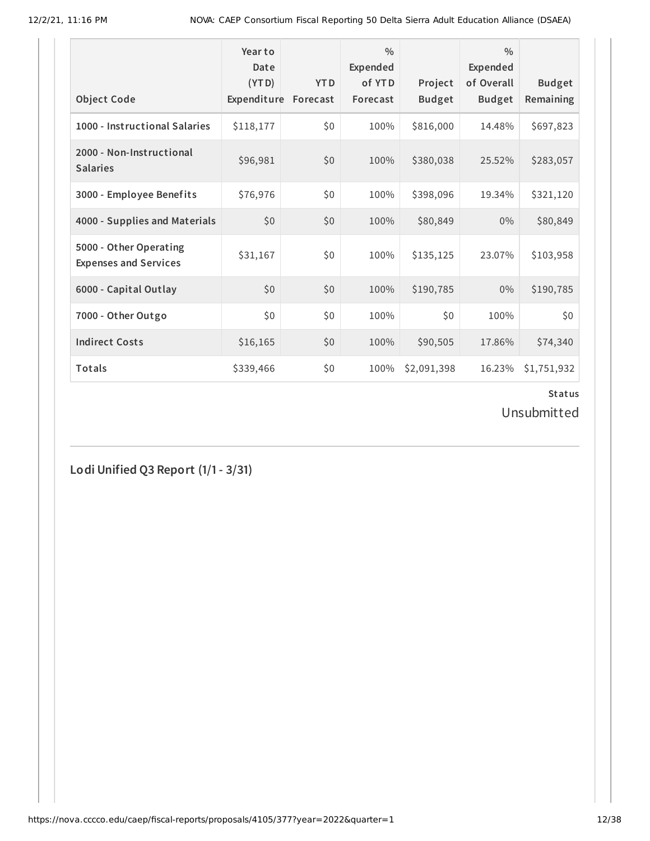|                                                        | Year to<br>Date<br>(YTD) | <b>YTD</b> | $\frac{0}{0}$<br>Expended<br>of YTD | Project       | $\frac{0}{0}$<br>Expended<br>of Overall | <b>Budget</b> |
|--------------------------------------------------------|--------------------------|------------|-------------------------------------|---------------|-----------------------------------------|---------------|
| <b>Object Code</b>                                     | Expenditure              | Forecast   | Forecast                            | <b>Budget</b> | <b>Budget</b>                           | Remaining     |
| 1000 - Instructional Salaries                          | \$118,177                | \$0        | 100%                                | \$816,000     | 14.48%                                  | \$697,823     |
| 2000 - Non-Instructional<br><b>Salaries</b>            | \$96,981                 | \$0        | 100%                                | \$380,038     | 25.52%                                  | \$283,057     |
| 3000 - Employee Benefits                               | \$76,976                 | \$0        | 100%                                | \$398,096     | 19.34%                                  | \$321,120     |
| 4000 - Supplies and Materials                          | \$0                      | \$0        | 100%                                | \$80,849      | $0\%$                                   | \$80,849      |
| 5000 - Other Operating<br><b>Expenses and Services</b> | \$31,167                 | \$0        | 100%                                | \$135,125     | 23.07%                                  | \$103,958     |
| 6000 - Capital Outlay                                  | \$0                      | \$0        | 100%                                | \$190,785     | $0\%$                                   | \$190,785     |
| 7000 - Other Outgo                                     | \$0\$                    | \$0        | 100%                                | \$0           | 100%                                    | \$0           |
| <b>Indirect Costs</b>                                  | \$16,165                 | \$0        | 100%                                | \$90,505      | 17.86%                                  | \$74,340      |
| <b>Totals</b>                                          | \$339,466                | \$0        | 100%                                | \$2,091,398   | 16.23%                                  | \$1,751,932   |

Unsubmitted

**Lodi Unified Q3 Report (1/1- 3/31)**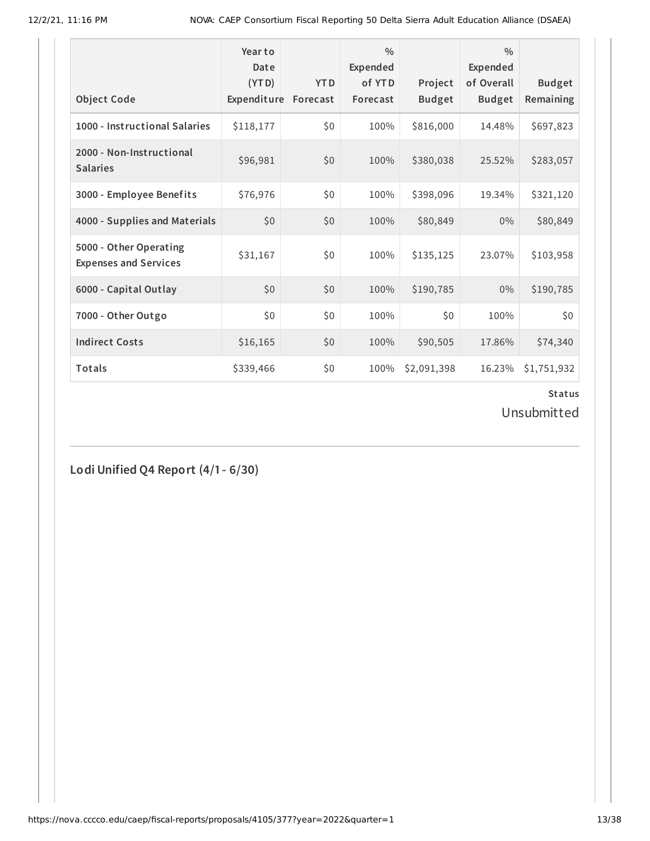|                                                        | Year to<br>Date<br>(YTD) | <b>YTD</b> | $\frac{0}{0}$<br>Expended<br>of YTD | Project       | $\frac{0}{0}$<br>Expended<br>of Overall | <b>Budget</b> |
|--------------------------------------------------------|--------------------------|------------|-------------------------------------|---------------|-----------------------------------------|---------------|
| <b>Object Code</b>                                     | Expenditure              | Forecast   | Forecast                            | <b>Budget</b> | <b>Budget</b>                           | Remaining     |
| 1000 - Instructional Salaries                          | \$118,177                | \$0        | 100%                                | \$816,000     | 14.48%                                  | \$697,823     |
| 2000 - Non-Instructional<br><b>Salaries</b>            | \$96,981                 | \$0        | 100%                                | \$380,038     | 25.52%                                  | \$283,057     |
| 3000 - Employee Benefits                               | \$76,976                 | \$0        | 100%                                | \$398,096     | 19.34%                                  | \$321,120     |
| 4000 - Supplies and Materials                          | \$0                      | \$0        | 100%                                | \$80,849      | $0\%$                                   | \$80,849      |
| 5000 - Other Operating<br><b>Expenses and Services</b> | \$31,167                 | \$0        | 100%                                | \$135,125     | 23.07%                                  | \$103,958     |
| 6000 - Capital Outlay                                  | \$0                      | \$0        | 100%                                | \$190,785     | $0\%$                                   | \$190,785     |
| 7000 - Other Outgo                                     | \$0\$                    | \$0        | 100%                                | \$0           | 100%                                    | \$0           |
| <b>Indirect Costs</b>                                  | \$16,165                 | \$0        | 100%                                | \$90,505      | 17.86%                                  | \$74,340      |
| Totals                                                 | \$339,466                | \$0        | 100%                                | \$2,091,398   | 16.23%                                  | \$1,751,932   |

Unsubmitted

**Lodi Unified Q4 Report (4/1- 6/30)**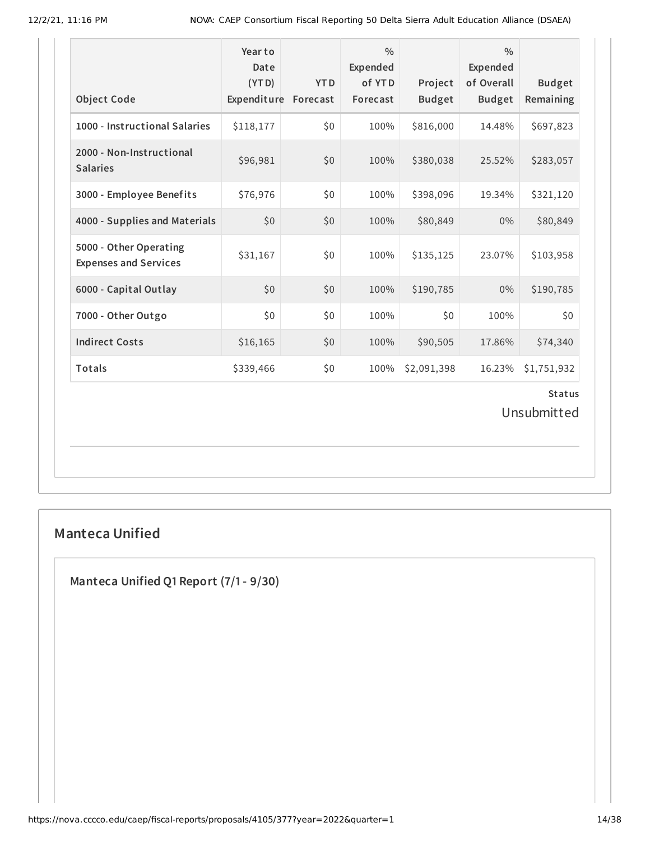| <b>Object Code</b>                                     | Year to<br>Date<br>(YTD)<br>Expenditure Forecast | <b>YTD</b> | $\frac{0}{0}$<br>Expended<br>of YTD<br>Forecast | Project<br><b>Budget</b> | $\frac{0}{0}$<br>Expended<br>of Overall<br><b>Budget</b> | <b>Budget</b><br>Remaining |  |  |
|--------------------------------------------------------|--------------------------------------------------|------------|-------------------------------------------------|--------------------------|----------------------------------------------------------|----------------------------|--|--|
| 1000 - Instructional Salaries                          | \$118,177                                        | \$0        | 100%                                            | \$816,000                | 14.48%                                                   | \$697,823                  |  |  |
| 2000 - Non-Instructional<br><b>Salaries</b>            | \$96,981                                         | \$0        | 100%                                            | \$380,038                | 25.52%                                                   | \$283,057                  |  |  |
| 3000 - Employee Benefits                               | \$76,976                                         | \$0        | 100%                                            | \$398,096                | 19.34%                                                   | \$321,120                  |  |  |
| 4000 - Supplies and Materials                          | \$0                                              | \$0        | 100%                                            | \$80,849                 | $0\%$                                                    | \$80,849                   |  |  |
| 5000 - Other Operating<br><b>Expenses and Services</b> | \$31,167                                         | \$0        | 100%                                            | \$135,125                | 23.07%                                                   | \$103,958                  |  |  |
| 6000 - Capital Outlay                                  | \$0                                              | \$0        | 100%                                            | \$190,785                | $0\%$                                                    | \$190,785                  |  |  |
| 7000 - Other Outgo                                     | \$0                                              | \$0        | 100%                                            | \$0                      | 100%                                                     | \$0                        |  |  |
| <b>Indirect Costs</b>                                  | \$16,165                                         | \$0        | 100%                                            | \$90,505                 | 17.86%                                                   | \$74,340                   |  |  |
| Totals                                                 | \$339,466                                        | \$0        | 100%                                            | \$2,091,398              | 16.23%                                                   | \$1,751,932                |  |  |
| <b>Status</b><br>Unsubmitted                           |                                                  |            |                                                 |                          |                                                          |                            |  |  |

# **Manteca Unified**

**Manteca Unified Q1 Report (7/1- 9/30)**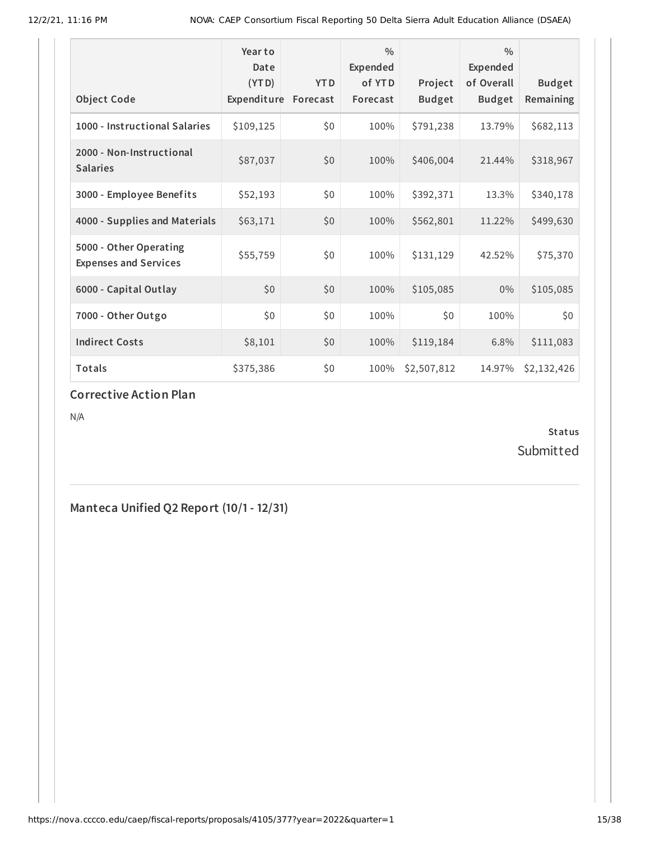|                                                        | Year to<br>Date<br>(YTD) | <b>YTD</b> | $\frac{0}{0}$<br>Expended<br>of YTD | Project       | $\frac{0}{0}$<br>Expended<br>of Overall | <b>Budget</b> |
|--------------------------------------------------------|--------------------------|------------|-------------------------------------|---------------|-----------------------------------------|---------------|
| <b>Object Code</b>                                     | Expenditure              | Forecast   | Forecast                            | <b>Budget</b> | <b>Budget</b>                           | Remaining     |
| 1000 - Instructional Salaries                          | \$109,125                | \$0        | 100%                                | \$791,238     | 13.79%                                  | \$682,113     |
| 2000 - Non-Instructional<br><b>Salaries</b>            | \$87,037                 | \$0        | 100%                                | \$406,004     | 21.44%                                  | \$318,967     |
| 3000 - Employee Benefits                               | \$52,193                 | \$0        | 100%                                | \$392,371     | 13.3%                                   | \$340,178     |
| 4000 - Supplies and Materials                          | \$63,171                 | \$0        | 100%                                | \$562,801     | 11.22%                                  | \$499,630     |
| 5000 - Other Operating<br><b>Expenses and Services</b> | \$55,759                 | \$0        | 100%                                | \$131,129     | 42.52%                                  | \$75,370      |
| 6000 - Capital Outlay                                  | \$0                      | \$0        | 100%                                | \$105,085     | $0\%$                                   | \$105,085     |
| 7000 - Other Outgo                                     | \$0                      | \$0        | 100%                                | \$0           | 100%                                    | \$0           |
| <b>Indirect Costs</b>                                  | \$8,101                  | \$0        | 100%                                | \$119,184     | 6.8%                                    | \$111,083     |
| <b>Totals</b>                                          | \$375,386                | \$0        | 100%                                | \$2,507,812   | 14.97%                                  | \$2,132,426   |

#### **Corrective Action Plan**

N/A

**Status** Submitted

**Manteca Unified Q2 Report (10/1- 12/31)**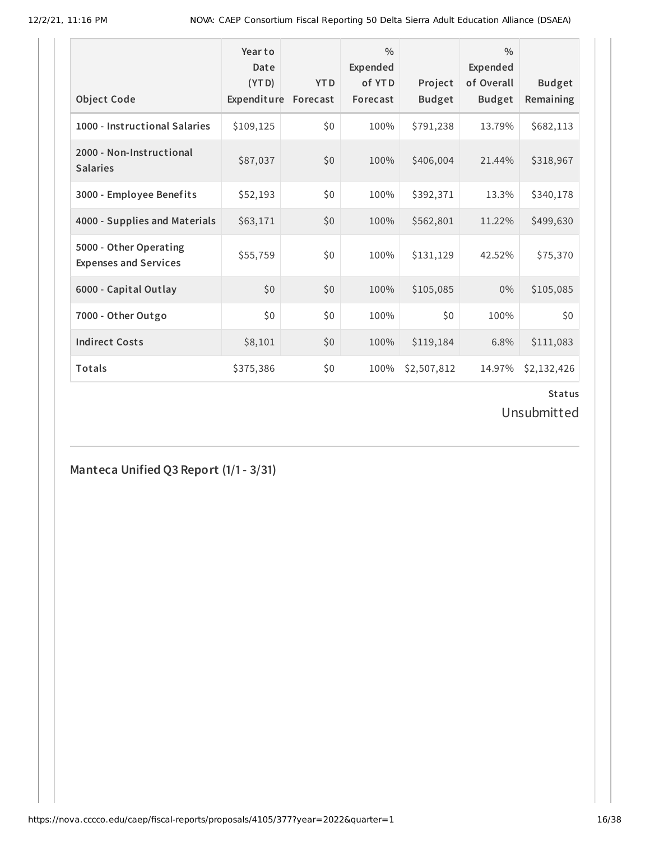|                                                        | Year to<br>Date<br>(YTD) | <b>YTD</b> | $\frac{0}{0}$<br>Expended<br>of YTD | Project       | $\frac{0}{0}$<br>Expended<br>of Overall | <b>Budget</b> |
|--------------------------------------------------------|--------------------------|------------|-------------------------------------|---------------|-----------------------------------------|---------------|
| <b>Object Code</b>                                     | Expenditure              | Forecast   | Forecast                            | <b>Budget</b> | <b>Budget</b>                           | Remaining     |
| 1000 - Instructional Salaries                          | \$109,125                | \$0        | 100%                                | \$791,238     | 13.79%                                  | \$682,113     |
| 2000 - Non-Instructional<br><b>Salaries</b>            | \$87,037                 | \$0        | 100%                                | \$406,004     | 21.44%                                  | \$318,967     |
| 3000 - Employee Benefits                               | \$52,193                 | \$0        | 100%                                | \$392,371     | 13.3%                                   | \$340,178     |
| 4000 - Supplies and Materials                          | \$63,171                 | \$0        | 100%                                | \$562,801     | 11.22%                                  | \$499,630     |
| 5000 - Other Operating<br><b>Expenses and Services</b> | \$55,759                 | \$0        | 100%                                | \$131,129     | 42.52%                                  | \$75,370      |
| 6000 - Capital Outlay                                  | \$0                      | \$0        | 100%                                | \$105,085     | $0\%$                                   | \$105,085     |
| 7000 - Other Outgo                                     | \$0\$                    | \$0        | 100%                                | \$0           | 100%                                    | \$0           |
| <b>Indirect Costs</b>                                  | \$8,101                  | \$0        | 100%                                | \$119,184     | 6.8%                                    | \$111,083     |
| <b>Totals</b>                                          | \$375,386                | \$0        | 100%                                | \$2,507,812   | 14.97%                                  | \$2,132,426   |

Unsubmitted

**Manteca Unified Q3 Report (1/1- 3/31)**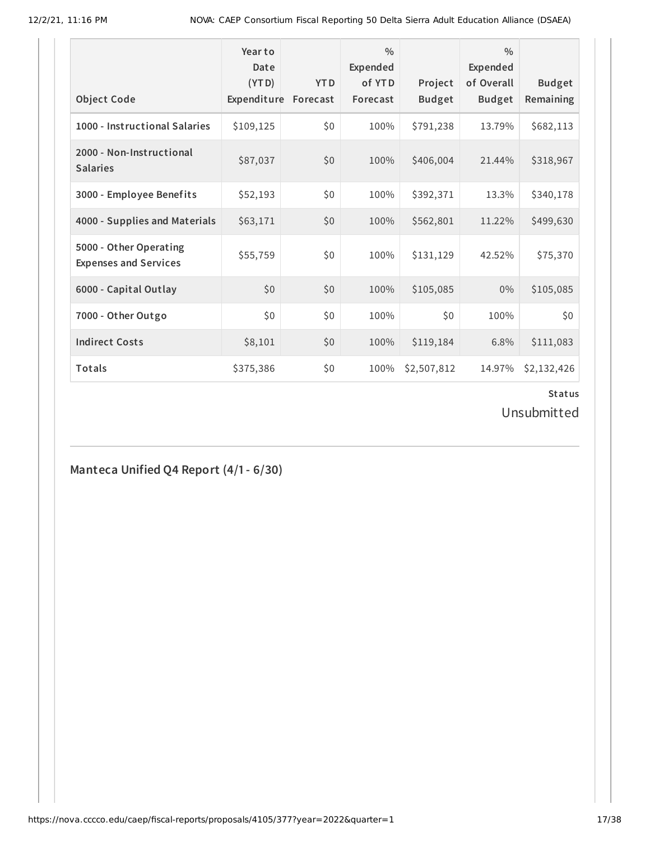|                                                        | Year to<br>Date<br>(YTD) | <b>YTD</b> | $\frac{0}{0}$<br>Expended<br>of YTD | Project       | $\frac{0}{0}$<br>Expended<br>of Overall | <b>Budget</b> |
|--------------------------------------------------------|--------------------------|------------|-------------------------------------|---------------|-----------------------------------------|---------------|
| <b>Object Code</b>                                     | Expenditure              | Forecast   | Forecast                            | <b>Budget</b> | <b>Budget</b>                           | Remaining     |
| 1000 - Instructional Salaries                          | \$109,125                | \$0        | 100%                                | \$791,238     | 13.79%                                  | \$682,113     |
| 2000 - Non-Instructional<br><b>Salaries</b>            | \$87,037                 | \$0        | 100%                                | \$406,004     | 21.44%                                  | \$318,967     |
| 3000 - Employee Benefits                               | \$52,193                 | \$0        | 100%                                | \$392,371     | 13.3%                                   | \$340,178     |
| 4000 - Supplies and Materials                          | \$63,171                 | \$0        | 100%                                | \$562,801     | 11.22%                                  | \$499,630     |
| 5000 - Other Operating<br><b>Expenses and Services</b> | \$55,759                 | \$0        | 100%                                | \$131,129     | 42.52%                                  | \$75,370      |
| 6000 - Capital Outlay                                  | \$0                      | \$0        | 100%                                | \$105,085     | $0\%$                                   | \$105,085     |
| 7000 - Other Outgo                                     | \$0\$                    | \$0        | 100%                                | \$0           | 100%                                    | \$0           |
| <b>Indirect Costs</b>                                  | \$8,101                  | \$0        | 100%                                | \$119,184     | 6.8%                                    | \$111,083     |
| Totals                                                 | \$375,386                | \$0        | 100%                                | \$2,507,812   | 14.97%                                  | \$2,132,426   |

Unsubmitted

**Manteca Unified Q4 Report (4/1- 6/30)**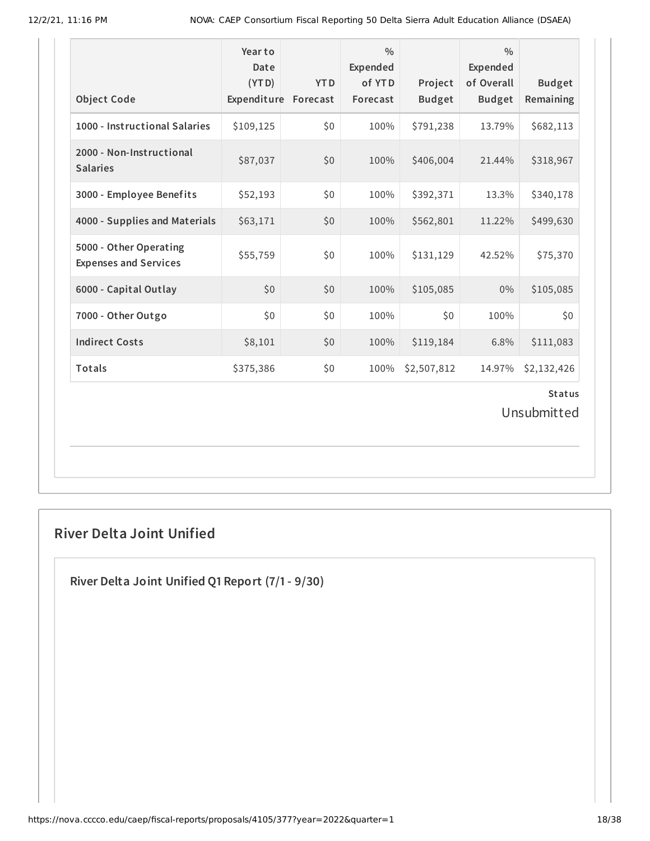| <b>Object Code</b>                                     | Year to<br>Date<br>(YTD)<br>Expenditure | <b>YTD</b><br>Forecast | $\frac{0}{0}$<br>Expended<br>of YTD<br>Forecast | Project<br><b>Budget</b> | $\frac{0}{0}$<br>Expended<br>of Overall<br><b>Budget</b> | <b>Budget</b><br>Remaining |  |  |
|--------------------------------------------------------|-----------------------------------------|------------------------|-------------------------------------------------|--------------------------|----------------------------------------------------------|----------------------------|--|--|
| 1000 - Instructional Salaries                          | \$109,125                               | \$0                    | 100%                                            | \$791,238                | 13.79%                                                   | \$682,113                  |  |  |
| 2000 - Non-Instructional<br><b>Salaries</b>            | \$87,037                                | \$0                    | 100%                                            | \$406,004                | 21.44%                                                   | \$318,967                  |  |  |
| 3000 - Employee Benefits                               | \$52,193                                | \$0                    | 100%                                            | \$392,371                | 13.3%                                                    | \$340,178                  |  |  |
| 4000 - Supplies and Materials                          | \$63,171                                | \$0                    | 100%                                            | \$562,801                | 11.22%                                                   | \$499,630                  |  |  |
| 5000 - Other Operating<br><b>Expenses and Services</b> | \$55,759                                | \$0                    | 100%                                            | \$131,129                | 42.52%                                                   | \$75,370                   |  |  |
| 6000 - Capital Outlay                                  | \$0                                     | \$0                    | 100%                                            | \$105,085                | $0\%$                                                    | \$105,085                  |  |  |
| 7000 - Other Outgo                                     | \$0                                     | \$0                    | 100%                                            | \$0                      | 100%                                                     | \$0                        |  |  |
| <b>Indirect Costs</b>                                  | \$8,101                                 | \$0                    | 100%                                            | \$119,184                | 6.8%                                                     | \$111,083                  |  |  |
| Totals                                                 | \$375,386                               | \$0                    | 100%                                            | \$2,507,812              | 14.97%                                                   | \$2,132,426                |  |  |
| <b>Status</b><br>المتمسط فالمستحاد والمستقط البالية    |                                         |                        |                                                 |                          |                                                          |                            |  |  |

Unsubmitted

# **River Delta Joint Unified**

**River Delta Joint Unified Q1 Report (7/1- 9/30)**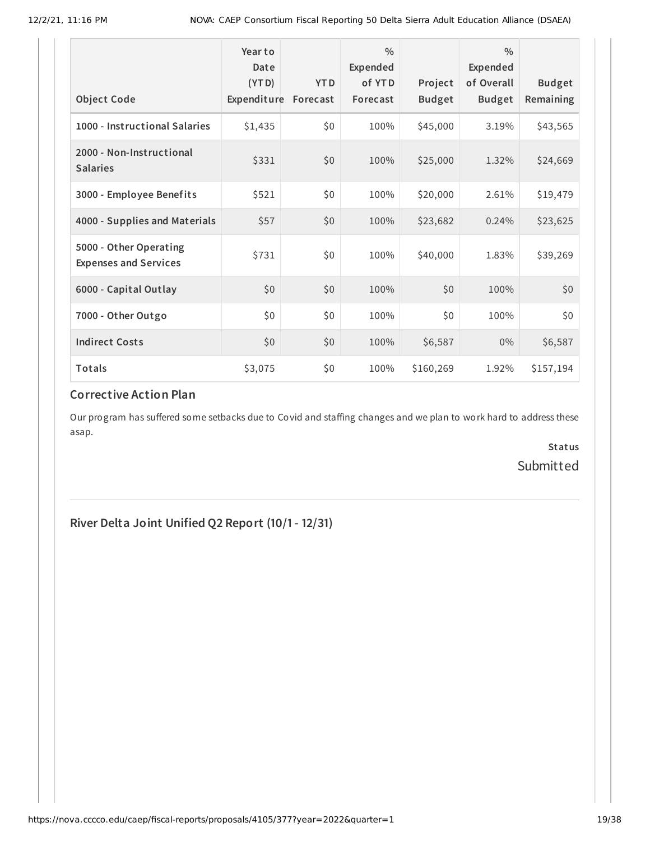|                                                        | Year to<br>Date<br>(YTD) | <b>YTD</b> | $\frac{0}{0}$<br>Expended<br>of YTD | Project       | $\frac{0}{0}$<br><b>Expended</b><br>of Overall | <b>Budget</b> |
|--------------------------------------------------------|--------------------------|------------|-------------------------------------|---------------|------------------------------------------------|---------------|
| <b>Object Code</b>                                     | Expenditure              | Forecast   | Forecast                            | <b>Budget</b> | <b>Budget</b>                                  | Remaining     |
| 1000 - Instructional Salaries                          | \$1,435                  | \$0        | 100%                                | \$45,000      | 3.19%                                          | \$43,565      |
| 2000 - Non-Instructional<br><b>Salaries</b>            | \$331                    | \$0        | 100%                                | \$25,000      | 1.32%                                          | \$24,669      |
| 3000 - Employee Benefits                               | \$521                    | \$0        | 100%                                | \$20,000      | 2.61%                                          | \$19,479      |
| 4000 - Supplies and Materials                          | \$57                     | \$0        | 100%                                | \$23,682      | 0.24%                                          | \$23,625      |
| 5000 - Other Operating<br><b>Expenses and Services</b> | \$731                    | \$0        | 100%                                | \$40,000      | 1.83%                                          | \$39,269      |
| 6000 - Capital Outlay                                  | \$0\$                    | \$0        | 100%                                | \$0           | 100%                                           | \$0           |
| 7000 - Other Outgo                                     | \$0                      | \$0        | 100%                                | \$0           | 100%                                           | \$0           |
| <b>Indirect Costs</b>                                  | \$0                      | \$0        | 100%                                | \$6,587       | $0\%$                                          | \$6,587       |
| Totals                                                 | \$3,075                  | \$0        | 100%                                | \$160,269     | 1.92%                                          | \$157,194     |

# **Corrective Action Plan**

Our program has suffered some setbacks due to Covid and staffing changes and we plan to work hard to address these asap.

> **Status** Submitted

# **River Delta Joint Unified Q2 Report (10/1- 12/31)**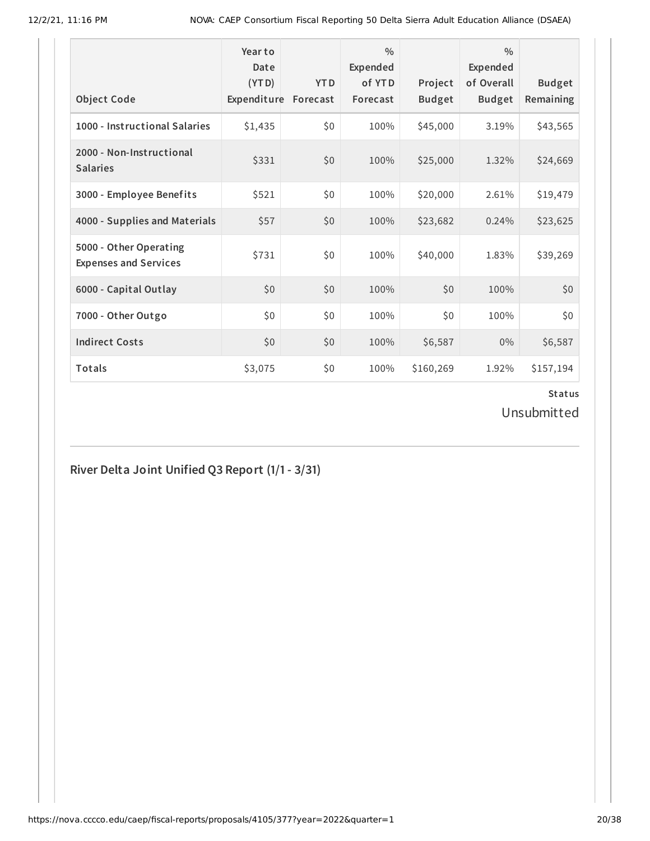| <b>Object Code</b>                                     | Year to<br>Date<br>(YTD)<br>Expenditure | <b>YTD</b><br>Forecast | $\frac{0}{0}$<br>Expended<br>of YTD<br>Forecast | Project<br><b>Budget</b> | $\frac{0}{0}$<br><b>Expended</b><br>of Overall<br><b>Budget</b> | <b>Budget</b><br>Remaining |
|--------------------------------------------------------|-----------------------------------------|------------------------|-------------------------------------------------|--------------------------|-----------------------------------------------------------------|----------------------------|
| 1000 - Instructional Salaries                          | \$1,435                                 | \$0                    | 100%                                            | \$45,000                 | 3.19%                                                           | \$43,565                   |
| 2000 - Non-Instructional<br><b>Salaries</b>            | \$331                                   | \$0                    | 100%                                            | \$25,000                 | 1.32%                                                           | \$24,669                   |
| 3000 - Employee Benefits                               | \$521                                   | \$0                    | 100%                                            | \$20,000                 | 2.61%                                                           | \$19,479                   |
| 4000 - Supplies and Materials                          | \$57                                    | \$0                    | 100%                                            | \$23,682                 | 0.24%                                                           | \$23,625                   |
| 5000 - Other Operating<br><b>Expenses and Services</b> | \$731                                   | \$0                    | 100%                                            | \$40,000                 | 1.83%                                                           | \$39,269                   |
| 6000 - Capital Outlay                                  | \$0                                     | \$0                    | 100%                                            | \$0                      | 100%                                                            | \$0                        |
| 7000 - Other Outgo                                     | \$0                                     | \$0                    | 100%                                            | \$0                      | 100%                                                            | \$0                        |
| <b>Indirect Costs</b>                                  | \$0                                     | \$0                    | 100%                                            | \$6,587                  | $0\%$                                                           | \$6,587                    |
| <b>Totals</b>                                          | \$3,075                                 | \$0                    | 100%                                            | \$160,269                | 1.92%                                                           | \$157,194                  |

Unsubmitted

# **River Delta Joint Unified Q3 Report (1/1- 3/31)**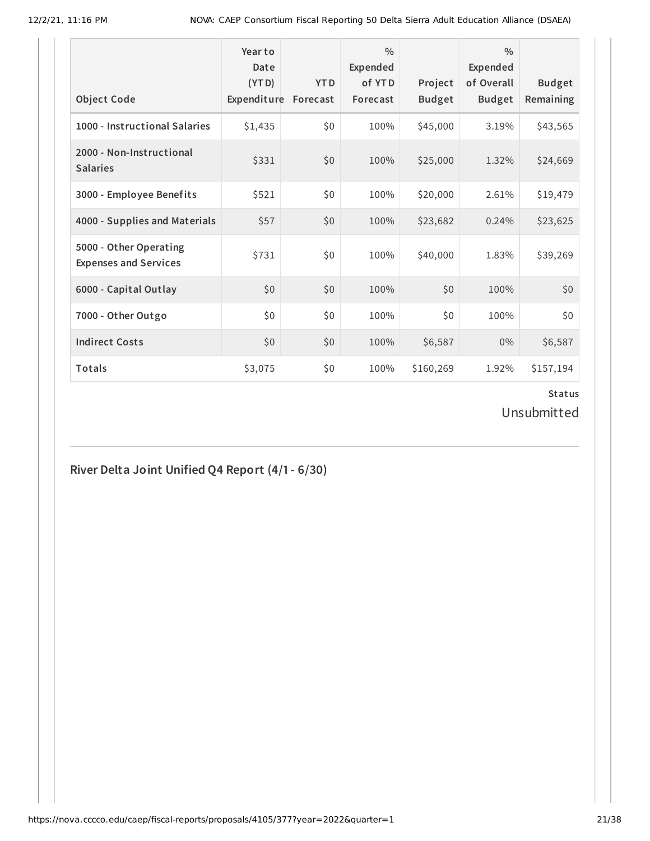| <b>Object Code</b>                                     | Year to<br>Date<br>(YTD)<br>Expenditure | <b>YTD</b><br>Forecast | $\frac{0}{0}$<br>Expended<br>of YTD<br>Forecast | Project<br><b>Budget</b> | $\frac{0}{0}$<br>Expended<br>of Overall<br><b>Budget</b> | <b>Budget</b><br>Remaining |
|--------------------------------------------------------|-----------------------------------------|------------------------|-------------------------------------------------|--------------------------|----------------------------------------------------------|----------------------------|
| 1000 - Instructional Salaries                          | \$1,435                                 | \$0                    | 100%                                            | \$45,000                 | 3.19%                                                    | \$43,565                   |
| 2000 - Non-Instructional<br><b>Salaries</b>            | \$331                                   | \$0                    | 100%                                            | \$25,000                 | 1.32%                                                    | \$24,669                   |
| 3000 - Employee Benefits                               | \$521                                   | \$0                    | 100%                                            | \$20,000                 | 2.61%                                                    | \$19,479                   |
| 4000 - Supplies and Materials                          | \$57                                    | \$0                    | 100%                                            | \$23,682                 | 0.24%                                                    | \$23,625                   |
| 5000 - Other Operating<br><b>Expenses and Services</b> | \$731                                   | \$0                    | 100%                                            | \$40,000                 | 1.83%                                                    | \$39,269                   |
| 6000 - Capital Outlay                                  | \$0                                     | \$0                    | 100%                                            | \$0                      | 100%                                                     | \$0                        |
| 7000 - Other Outgo                                     | \$0                                     | \$0                    | 100%                                            | \$0                      | 100%                                                     | \$0                        |
| <b>Indirect Costs</b>                                  | \$0                                     | \$0                    | 100%                                            | \$6,587                  | $0\%$                                                    | \$6,587                    |
| Totals                                                 | \$3,075                                 | \$0                    | 100%                                            | \$160,269                | 1.92%                                                    | \$157,194                  |

Unsubmitted

# **River Delta Joint Unified Q4 Report (4/1- 6/30)**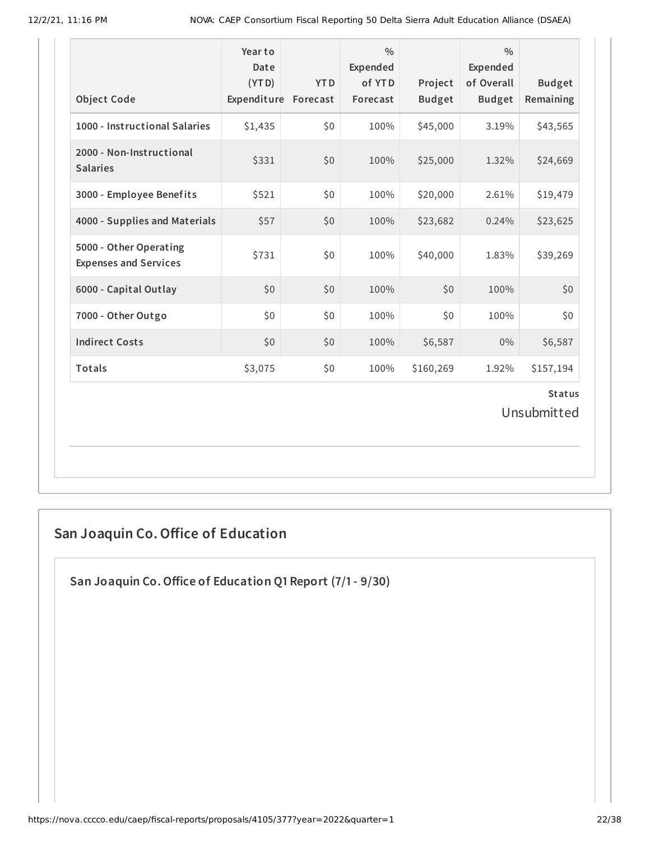| <b>Object Code</b>                                     | Year to<br>Date<br>(YTD)<br>Expenditure Forecast | <b>YTD</b> | $\frac{0}{0}$<br>Expended<br>of YTD<br>Forecast | Project<br><b>Budget</b> | $\frac{0}{0}$<br><b>Expended</b><br>of Overall<br><b>Budget</b> | <b>Budget</b><br>Remaining |  |  |
|--------------------------------------------------------|--------------------------------------------------|------------|-------------------------------------------------|--------------------------|-----------------------------------------------------------------|----------------------------|--|--|
| 1000 - Instructional Salaries                          | \$1,435                                          | \$0        | 100%                                            | \$45,000                 | 3.19%                                                           | \$43,565                   |  |  |
| 2000 - Non-Instructional<br><b>Salaries</b>            | \$331                                            | \$0        | 100%                                            | \$25,000                 | 1.32%                                                           | \$24,669                   |  |  |
| 3000 - Employee Benefits                               | \$521                                            | \$0        | 100%                                            | \$20,000                 | 2.61%                                                           | \$19,479                   |  |  |
| 4000 - Supplies and Materials                          | \$57                                             | \$0        | 100%                                            | \$23,682                 | 0.24%                                                           | \$23,625                   |  |  |
| 5000 - Other Operating<br><b>Expenses and Services</b> | \$731                                            | \$0        | 100%                                            | \$40,000                 | 1.83%                                                           | \$39,269                   |  |  |
| 6000 - Capital Outlay                                  | \$0                                              | \$0        | 100%                                            | \$0                      | 100%                                                            | \$0                        |  |  |
| 7000 - Other Outgo                                     | \$0                                              | \$0        | 100%                                            | \$0                      | 100%                                                            | \$0                        |  |  |
| <b>Indirect Costs</b>                                  | \$0                                              | \$0        | 100%                                            | \$6,587                  | 0%                                                              | \$6,587                    |  |  |
| Totals                                                 | \$3,075                                          | \$0        | 100%                                            | \$160,269                | 1.92%                                                           | \$157,194                  |  |  |
| <b>Status</b><br>Unsubmitted                           |                                                  |            |                                                 |                          |                                                                 |                            |  |  |

# **San Joaquin Co.Office of Education**

**San Joaquin Co.Office of Education Q1 Report (7/1- 9/30)**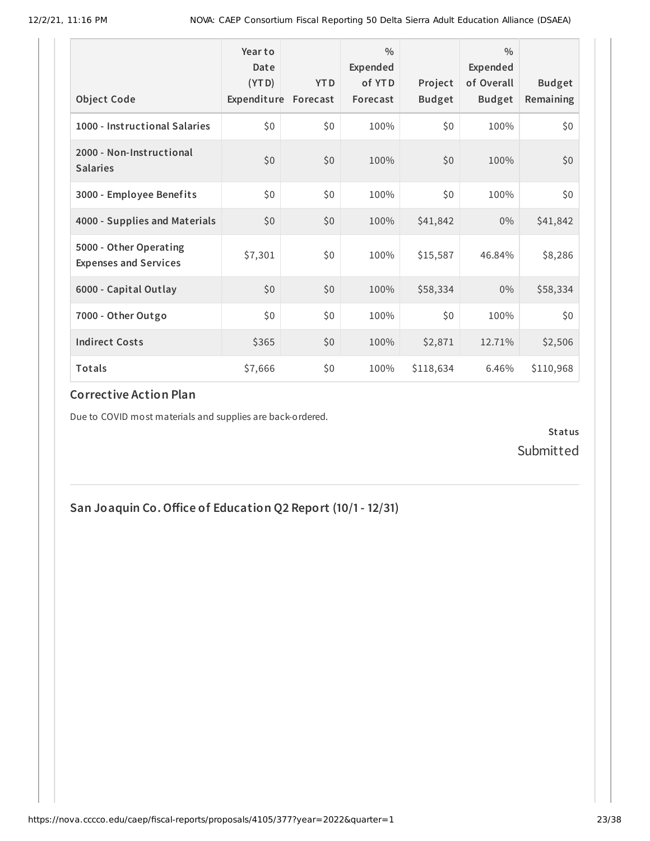| <b>Object Code</b>                                     | Year to<br>Date<br>(YTD)<br>Expenditure | <b>YTD</b><br>Forecast | $\frac{0}{0}$<br>Expended<br>of YTD<br>Forecast | Project<br><b>Budget</b> | $\frac{0}{0}$<br>Expended<br>of Overall<br><b>Budget</b> | <b>Budget</b><br>Remaining |
|--------------------------------------------------------|-----------------------------------------|------------------------|-------------------------------------------------|--------------------------|----------------------------------------------------------|----------------------------|
| 1000 - Instructional Salaries                          | \$0                                     | \$0                    | 100%                                            | \$0                      | 100%                                                     | \$0                        |
| 2000 - Non-Instructional<br><b>Salaries</b>            | \$0                                     | \$0                    | 100%                                            | \$0                      | 100%                                                     | \$0                        |
| 3000 - Employee Benefits                               | \$0                                     | \$0                    | 100%                                            | \$0                      | 100%                                                     | \$0                        |
| 4000 - Supplies and Materials                          | \$0                                     | \$0                    | 100%                                            | \$41,842                 | $0\%$                                                    | \$41,842                   |
| 5000 - Other Operating<br><b>Expenses and Services</b> | \$7,301                                 | \$0                    | 100%                                            | \$15,587                 | 46.84%                                                   | \$8,286                    |
| 6000 - Capital Outlay                                  | \$0                                     | \$0                    | 100%                                            | \$58,334                 | $0\%$                                                    | \$58,334                   |
| 7000 - Other Outgo                                     | \$0                                     | \$0                    | 100%                                            | \$0\$                    | 100%                                                     | \$0                        |
| <b>Indirect Costs</b>                                  | \$365                                   | \$0                    | 100%                                            | \$2,871                  | 12.71%                                                   | \$2,506                    |
| Totals                                                 | \$7,666                                 | \$0                    | 100%                                            | \$118,634                | 6.46%                                                    | \$110,968                  |

#### **Corrective Action Plan**

Due to COVID most materials and supplies are back-ordered.

**Status** Submitted

**San Joaquin Co.Office of Education Q2 Report (10/1- 12/31)**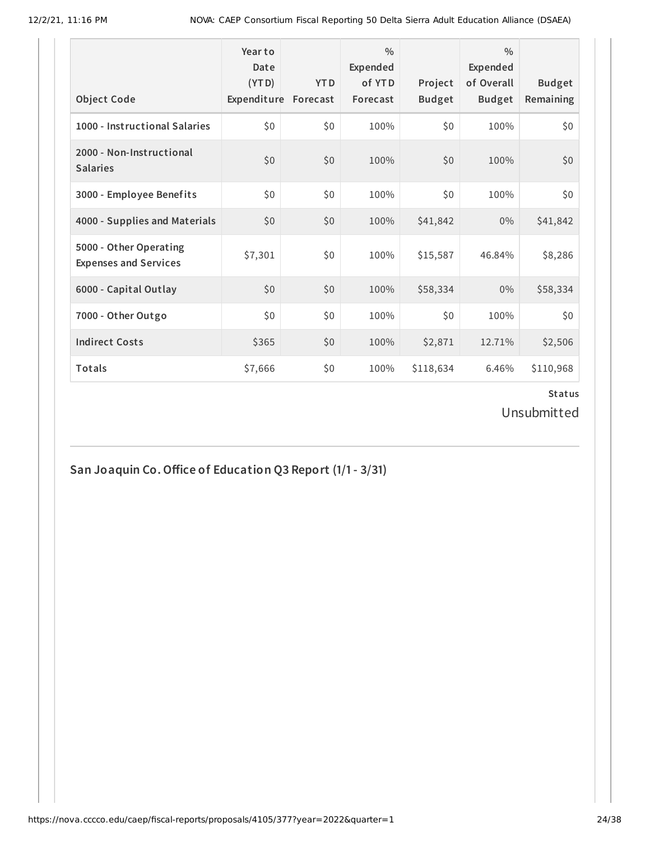| <b>Object Code</b>                                     | Year to<br>Date<br>(YTD)<br>Expenditure Forecast | <b>YTD</b> | $\frac{0}{0}$<br>Expended<br>of YTD<br>Forecast | Project<br><b>Budget</b> | $\frac{0}{0}$<br><b>Expended</b><br>of Overall<br><b>Budget</b> | <b>Budget</b><br>Remaining |
|--------------------------------------------------------|--------------------------------------------------|------------|-------------------------------------------------|--------------------------|-----------------------------------------------------------------|----------------------------|
| 1000 - Instructional Salaries                          | \$0                                              | \$0        | 100%                                            | \$0                      | 100%                                                            | \$0                        |
| 2000 - Non-Instructional<br><b>Salaries</b>            | \$0                                              | \$0        | 100%                                            | \$0                      | 100%                                                            | \$0                        |
| 3000 - Employee Benefits                               | \$0                                              | \$0        | 100%                                            | \$0                      | 100%                                                            | \$0                        |
| 4000 - Supplies and Materials                          | \$0                                              | \$0        | 100%                                            | \$41,842                 | $0\%$                                                           | \$41,842                   |
| 5000 - Other Operating<br><b>Expenses and Services</b> | \$7,301                                          | \$0        | 100%                                            | \$15,587                 | 46.84%                                                          | \$8,286                    |
| 6000 - Capital Outlay                                  | \$0                                              | \$0        | 100%                                            | \$58,334                 | $0\%$                                                           | \$58,334                   |
| 7000 - Other Outgo                                     | \$0                                              | \$0        | 100%                                            | \$0                      | 100%                                                            | \$0                        |
| <b>Indirect Costs</b>                                  | \$365                                            | \$0        | 100%                                            | \$2,871                  | 12.71%                                                          | \$2,506                    |
| <b>Totals</b>                                          | \$7,666                                          | \$0        | 100%                                            | \$118,634                | 6.46%                                                           | \$110,968                  |

Unsubmitted

**San Joaquin Co.Office of Education Q3 Report (1/1- 3/31)**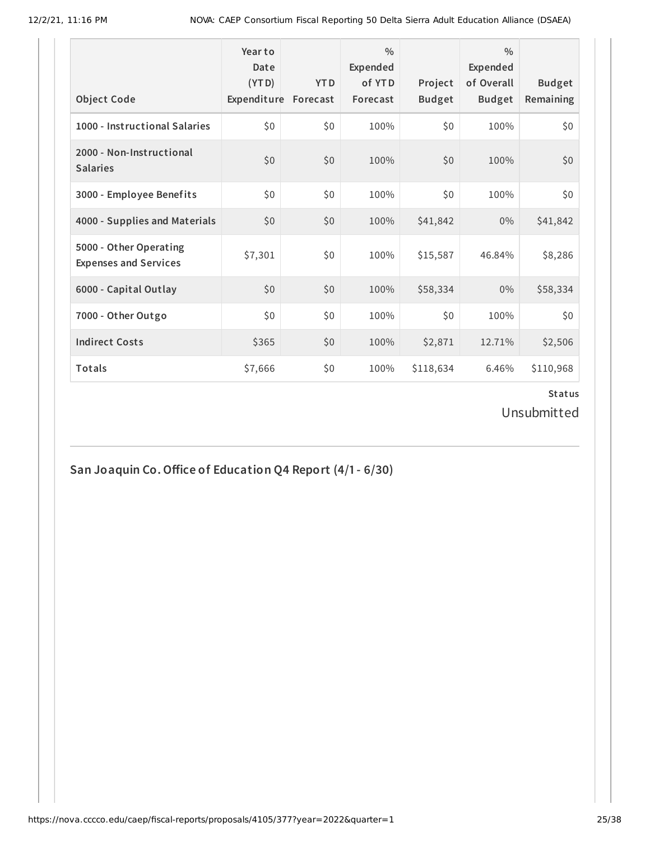| <b>Object Code</b>                                     | Year to<br>Date<br>(YTD)<br>Expenditure | <b>YTD</b><br>Forecast | $\frac{0}{0}$<br>Expended<br>of YTD<br>Forecast | Project<br><b>Budget</b> | $\frac{0}{0}$<br>Expended<br>of Overall<br><b>Budget</b> | <b>Budget</b><br>Remaining |
|--------------------------------------------------------|-----------------------------------------|------------------------|-------------------------------------------------|--------------------------|----------------------------------------------------------|----------------------------|
| 1000 - Instructional Salaries                          | \$0                                     | \$0                    | 100%                                            | \$0                      | 100%                                                     | \$0                        |
| 2000 - Non-Instructional<br><b>Salaries</b>            | \$0                                     | \$0                    | 100%                                            | \$0                      | 100%                                                     | \$0                        |
| 3000 - Employee Benefits                               | \$0                                     | \$0                    | 100%                                            | \$0                      | 100%                                                     | \$0                        |
| 4000 - Supplies and Materials                          | \$0                                     | \$0                    | 100%                                            | \$41,842                 | $0\%$                                                    | \$41,842                   |
| 5000 - Other Operating<br><b>Expenses and Services</b> | \$7,301                                 | \$0                    | 100%                                            | \$15,587                 | 46.84%                                                   | \$8,286                    |
| 6000 - Capital Outlay                                  | \$0                                     | \$0                    | 100%                                            | \$58,334                 | $0\%$                                                    | \$58,334                   |
| 7000 - Other Outgo                                     | \$0                                     | \$0                    | 100%                                            | \$0                      | 100%                                                     | \$0                        |
| <b>Indirect Costs</b>                                  | \$365                                   | \$0                    | 100%                                            | \$2,871                  | 12.71%                                                   | \$2,506                    |
| <b>Totals</b>                                          | \$7,666                                 | \$0                    | 100%                                            | \$118,634                | 6.46%                                                    | \$110,968                  |

Unsubmitted

**San Joaquin Co.Office of Education Q4 Report (4/1- 6/30)**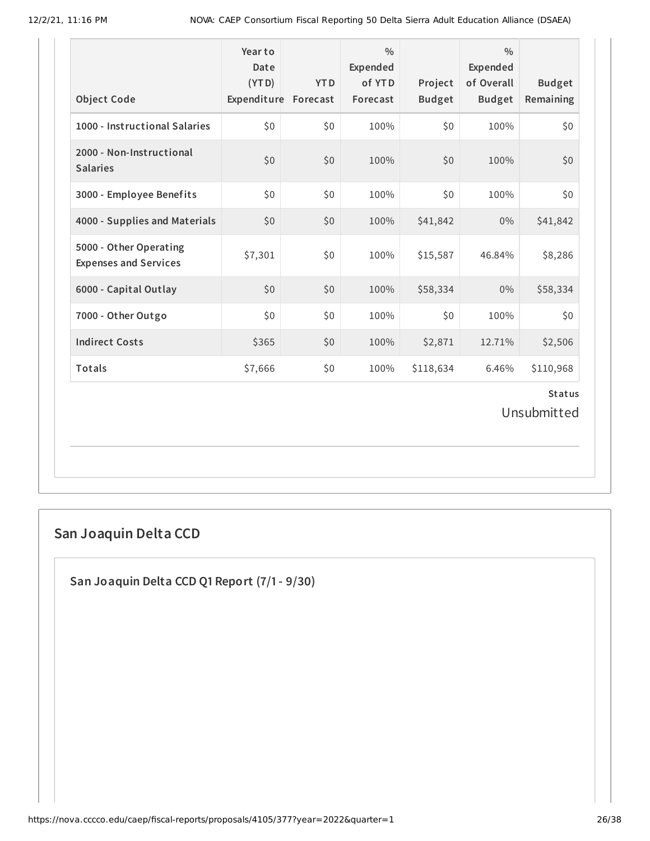| <b>Object Code</b>                                     | Year to<br>Date<br>(YTD)<br>Expenditure Forecast | <b>YTD</b> | $\frac{0}{0}$<br>Expended<br>of YTD<br>Forecast | Project<br><b>Budget</b> | $\frac{0}{0}$<br>Expended<br>of Overall<br><b>Budget</b> | <b>Budget</b><br>Remaining |  |  |
|--------------------------------------------------------|--------------------------------------------------|------------|-------------------------------------------------|--------------------------|----------------------------------------------------------|----------------------------|--|--|
| 1000 - Instructional Salaries                          | \$0                                              | \$0        | 100%                                            | \$0                      | 100%                                                     | \$0                        |  |  |
| 2000 - Non-Instructional<br><b>Salaries</b>            | \$0                                              | \$0        | 100%                                            | \$0                      | 100%                                                     | \$0                        |  |  |
| 3000 - Employee Benefits                               | \$0                                              | \$0        | 100%                                            | \$0                      | 100%                                                     | \$0                        |  |  |
| 4000 - Supplies and Materials                          | \$0                                              | \$0        | 100%                                            | \$41,842                 | 0%                                                       | \$41,842                   |  |  |
| 5000 - Other Operating<br><b>Expenses and Services</b> | \$7,301                                          | \$0        | 100%                                            | \$15,587                 | 46.84%                                                   | \$8,286                    |  |  |
| 6000 - Capital Outlay                                  | \$0                                              | \$0        | 100%                                            | \$58,334                 | $0\%$                                                    | \$58,334                   |  |  |
| 7000 - Other Outgo                                     | \$0                                              | \$0        | 100%                                            | \$0                      | 100%                                                     | \$0                        |  |  |
| <b>Indirect Costs</b>                                  | \$365                                            | \$0        | 100%                                            | \$2,871                  | 12.71%                                                   | \$2,506                    |  |  |
| <b>Totals</b>                                          | \$7,666                                          | \$0        | 100%                                            | \$118,634                | 6.46%                                                    | \$110,968                  |  |  |
| <b>Status</b><br>Unsubmitted                           |                                                  |            |                                                 |                          |                                                          |                            |  |  |

# **San Joaquin Delta CCD**

**San Joaquin Delta CCD Q1 Report (7/1- 9/30)**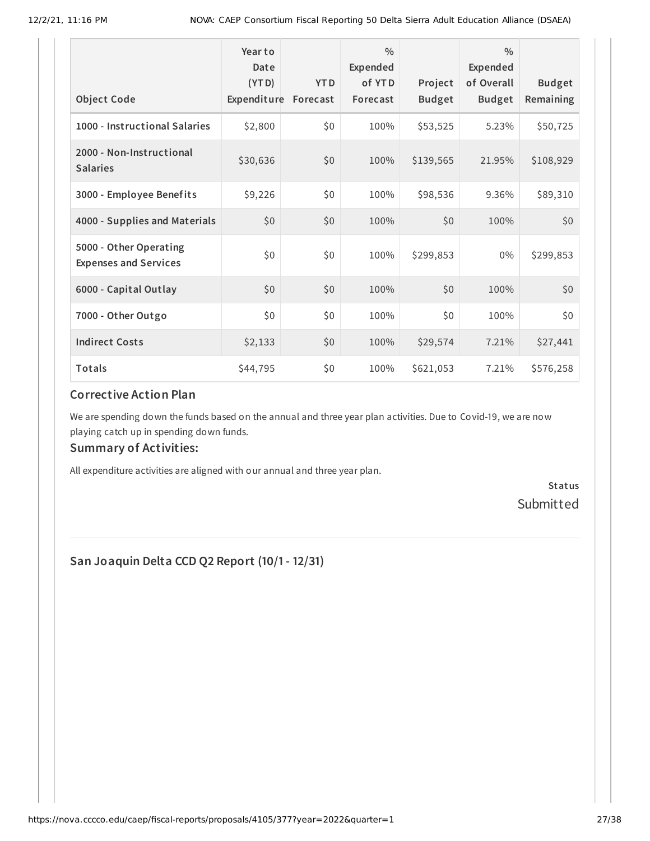| <b>Object Code</b>                                     | Year to<br>Date<br>(YTD)<br>Expenditure | <b>YTD</b><br>Forecast | $\frac{0}{0}$<br>Expended<br>of YTD<br>Forecast | Project<br><b>Budget</b> | $\frac{0}{0}$<br>Expended<br>of Overall<br><b>Budget</b> | <b>Budget</b><br>Remaining |
|--------------------------------------------------------|-----------------------------------------|------------------------|-------------------------------------------------|--------------------------|----------------------------------------------------------|----------------------------|
| 1000 - Instructional Salaries                          | \$2,800                                 | \$0                    | 100%                                            | \$53,525                 | 5.23%                                                    | \$50,725                   |
| 2000 - Non-Instructional<br><b>Salaries</b>            | \$30,636                                | \$0                    | 100%                                            | \$139,565                | 21.95%                                                   | \$108,929                  |
| 3000 - Employee Benefits                               | \$9,226                                 | \$0                    | 100%                                            | \$98,536                 | 9.36%                                                    | \$89,310                   |
| 4000 - Supplies and Materials                          | \$0                                     | \$0                    | 100%                                            | \$0                      | 100%                                                     | \$0                        |
| 5000 - Other Operating<br><b>Expenses and Services</b> | \$0                                     | \$0                    | 100%                                            | \$299,853                | $0\%$                                                    | \$299,853                  |
| 6000 - Capital Outlay                                  | \$0                                     | \$0                    | 100%                                            | \$0                      | 100%                                                     | \$0                        |
| 7000 - Other Outgo                                     | \$0                                     | \$0                    | 100%                                            | \$0                      | 100%                                                     | \$0                        |
| <b>Indirect Costs</b>                                  | \$2,133                                 | \$0                    | 100%                                            | \$29,574                 | 7.21%                                                    | \$27,441                   |
| Totals                                                 | \$44,795                                | \$0                    | 100%                                            | \$621,053                | 7.21%                                                    | \$576,258                  |

#### **Corrective Action Plan**

We are spending down the funds based on the annual and three year plan activities. Due to Covid-19, we are now playing catch up in spending down funds.

#### **Summary of Activities:**

All expenditure activities are aligned with our annual and three year plan.

**Status** Submitted

**San Joaquin Delta CCD Q2 Report (10/1- 12/31)**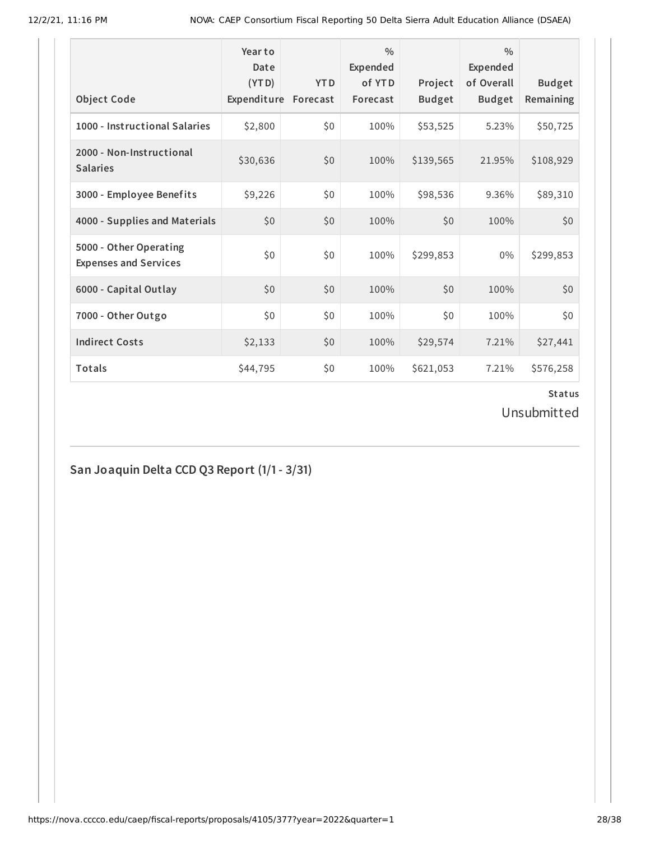| <b>Object Code</b>                                     | Year to<br>Date<br>(YTD)<br>Expenditure | <b>YTD</b><br>Forecast | $\frac{0}{0}$<br>Expended<br>of YTD<br>Forecast | Project<br><b>Budget</b> | $\frac{0}{0}$<br>Expended<br>of Overall<br><b>Budget</b> | <b>Budget</b><br>Remaining |
|--------------------------------------------------------|-----------------------------------------|------------------------|-------------------------------------------------|--------------------------|----------------------------------------------------------|----------------------------|
|                                                        |                                         |                        |                                                 |                          |                                                          |                            |
| 1000 - Instructional Salaries                          | \$2,800                                 | \$0                    | 100%                                            | \$53,525                 | 5.23%                                                    | \$50,725                   |
| 2000 - Non-Instructional<br><b>Salaries</b>            | \$30,636                                | \$0                    | 100%                                            | \$139,565                | 21.95%                                                   | \$108,929                  |
| 3000 - Employee Benefits                               | \$9,226                                 | \$0                    | 100%                                            | \$98,536                 | 9.36%                                                    | \$89,310                   |
| 4000 - Supplies and Materials                          | \$0                                     | \$0                    | 100%                                            | \$0                      | 100%                                                     | \$0                        |
| 5000 - Other Operating<br><b>Expenses and Services</b> | \$0                                     | \$0                    | 100%                                            | \$299,853                | $0\%$                                                    | \$299,853                  |
| 6000 - Capital Outlay                                  | \$0                                     | \$0                    | 100%                                            | \$0                      | 100%                                                     | \$0                        |
| 7000 - Other Outgo                                     | \$0                                     | \$0                    | 100%                                            | \$0                      | 100%                                                     | \$0                        |
| <b>Indirect Costs</b>                                  | \$2,133                                 | \$0                    | 100%                                            | \$29,574                 | 7.21%                                                    | \$27,441                   |
| Totals                                                 | \$44,795                                | \$0                    | 100%                                            | \$621,053                | 7.21%                                                    | \$576,258                  |

Unsubmitted

# **San Joaquin Delta CCD Q3 Report (1/1- 3/31)**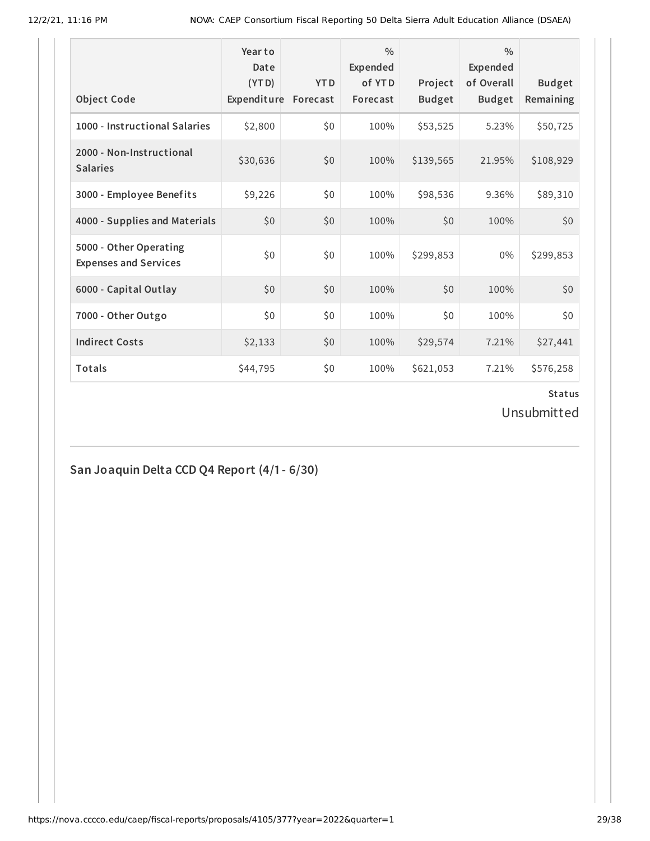| <b>Object Code</b>                                     | Year to<br>Date<br>(YTD)<br>Expenditure | <b>YTD</b><br>Forecast | $\frac{0}{0}$<br>Expended<br>of YTD<br>Forecast | Project<br><b>Budget</b> | $\frac{0}{0}$<br>Expended<br>of Overall<br><b>Budget</b> | <b>Budget</b><br>Remaining |
|--------------------------------------------------------|-----------------------------------------|------------------------|-------------------------------------------------|--------------------------|----------------------------------------------------------|----------------------------|
|                                                        |                                         |                        |                                                 |                          |                                                          |                            |
| 1000 - Instructional Salaries                          | \$2,800                                 | \$0                    | 100%                                            | \$53,525                 | 5.23%                                                    | \$50,725                   |
| 2000 - Non-Instructional<br><b>Salaries</b>            | \$30,636                                | \$0                    | 100%                                            | \$139,565                | 21.95%                                                   | \$108,929                  |
| 3000 - Employee Benefits                               | \$9,226                                 | \$0                    | 100%                                            | \$98,536                 | 9.36%                                                    | \$89,310                   |
| 4000 - Supplies and Materials                          | \$0                                     | \$0                    | 100%                                            | \$0                      | 100%                                                     | \$0                        |
| 5000 - Other Operating<br><b>Expenses and Services</b> | \$0                                     | \$0                    | 100%                                            | \$299,853                | $0\%$                                                    | \$299,853                  |
| 6000 - Capital Outlay                                  | \$0                                     | \$0                    | 100%                                            | \$0                      | 100%                                                     | \$0                        |
| 7000 - Other Outgo                                     | \$0                                     | \$0                    | 100%                                            | \$0                      | 100%                                                     | \$0                        |
| <b>Indirect Costs</b>                                  | \$2,133                                 | \$0                    | 100%                                            | \$29,574                 | 7.21%                                                    | \$27,441                   |
| Totals                                                 | \$44,795                                | \$0                    | 100%                                            | \$621,053                | 7.21%                                                    | \$576,258                  |

Unsubmitted

# **San Joaquin Delta CCD Q4 Report (4/1- 6/30)**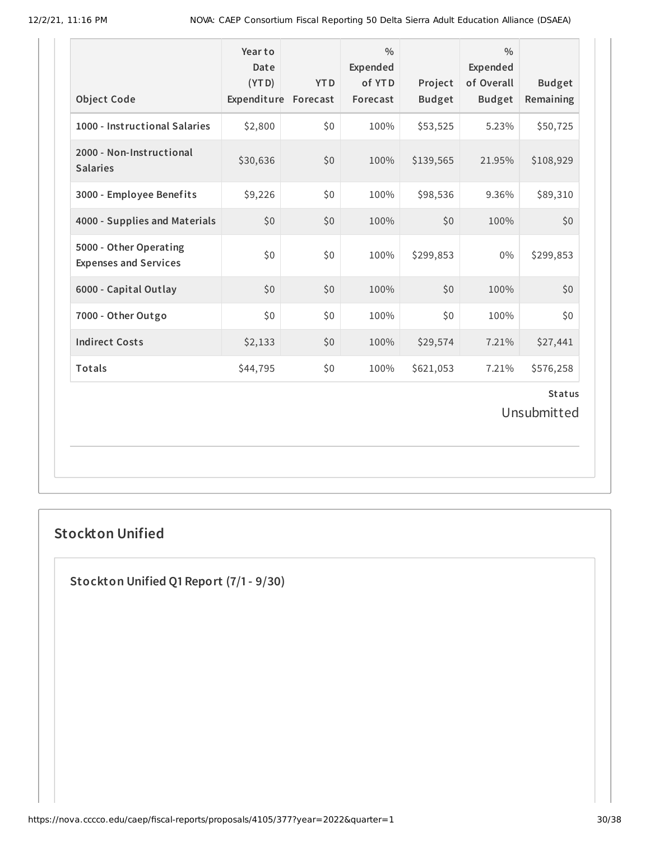| <b>Object Code</b>                                     | Year to<br>Date<br>(YTD)<br>Expenditure Forecast | <b>YTD</b> | $\frac{0}{0}$<br>Expended<br>of YTD<br>Forecast | Project<br><b>Budget</b> | $\frac{0}{0}$<br>Expended<br>of Overall<br><b>Budget</b> | <b>Budget</b><br>Remaining |  |  |
|--------------------------------------------------------|--------------------------------------------------|------------|-------------------------------------------------|--------------------------|----------------------------------------------------------|----------------------------|--|--|
| 1000 - Instructional Salaries                          | \$2,800                                          | \$0        | 100%                                            | \$53,525                 | 5.23%                                                    | \$50,725                   |  |  |
| 2000 - Non-Instructional<br><b>Salaries</b>            | \$30,636                                         | \$0        | 100%                                            | \$139,565                | 21.95%                                                   | \$108,929                  |  |  |
| 3000 - Employee Benefits                               | \$9,226                                          | \$0        | 100%                                            | \$98,536                 | 9.36%                                                    | \$89,310                   |  |  |
| 4000 - Supplies and Materials                          | \$0                                              | \$0        | 100%                                            | \$0                      | 100%                                                     | \$0                        |  |  |
| 5000 - Other Operating<br><b>Expenses and Services</b> | \$0                                              | \$0        | 100%                                            | \$299,853                | $0\%$                                                    | \$299,853                  |  |  |
| 6000 - Capital Outlay                                  | \$0                                              | \$0        | 100%                                            | \$0                      | 100%                                                     | \$0                        |  |  |
| 7000 - Other Outgo                                     | \$0                                              | \$0        | 100%                                            | \$0                      | 100%                                                     | \$0                        |  |  |
| <b>Indirect Costs</b>                                  | \$2,133                                          | \$0        | 100%                                            | \$29,574                 | 7.21%                                                    | \$27,441                   |  |  |
| Totals                                                 | \$44,795                                         | \$0        | 100%                                            | \$621,053                | 7.21%                                                    | \$576,258                  |  |  |
| <b>Status</b><br>Unsubmitted                           |                                                  |            |                                                 |                          |                                                          |                            |  |  |

# **Stockton Unified**

**Stockton Unified Q1 Report (7/1- 9/30)**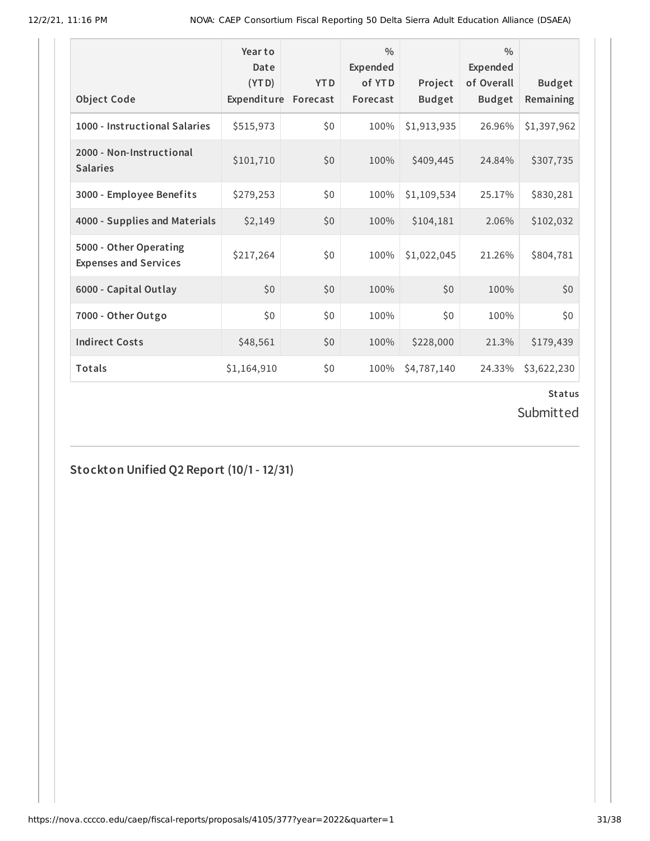| <b>Object Code</b>                                     | Year to<br>Date<br>(YTD)<br>Expenditure | <b>YTD</b><br>Forecast | $\frac{0}{0}$<br>Expended<br>of YTD<br>Forecast | Project<br><b>Budget</b> | $\frac{0}{0}$<br>Expended<br>of Overall<br><b>Budget</b> | <b>Budget</b><br>Remaining |
|--------------------------------------------------------|-----------------------------------------|------------------------|-------------------------------------------------|--------------------------|----------------------------------------------------------|----------------------------|
| 1000 - Instructional Salaries                          | \$515,973                               | \$0                    | 100%                                            | \$1,913,935              | 26.96%                                                   | \$1,397,962                |
| 2000 - Non-Instructional<br><b>Salaries</b>            | \$101,710                               | \$0                    | 100%                                            | \$409,445                | 24.84%                                                   | \$307,735                  |
| 3000 - Employee Benefits                               | \$279,253                               | \$0                    | 100%                                            | \$1,109,534              | 25.17%                                                   | \$830,281                  |
| 4000 - Supplies and Materials                          | \$2,149                                 | \$0                    | 100%                                            | \$104,181                | 2.06%                                                    | \$102,032                  |
| 5000 - Other Operating<br><b>Expenses and Services</b> | \$217,264                               | \$0                    | 100%                                            | \$1,022,045              | 21.26%                                                   | \$804,781                  |
| 6000 - Capital Outlay                                  | \$0                                     | \$0                    | 100%                                            | \$0                      | 100%                                                     | \$0                        |
| 7000 - Other Outgo                                     | \$0                                     | \$0                    | 100%                                            | \$0                      | 100%                                                     | \$0                        |
| <b>Indirect Costs</b>                                  | \$48,561                                | \$0                    | 100%                                            | \$228,000                | 21.3%                                                    | \$179,439                  |
| Totals                                                 | \$1,164,910                             | \$0                    | 100%                                            | \$4,787,140              | 24.33%                                                   | \$3,622,230                |

Submitted

**Stockton Unified Q2 Report (10/1- 12/31)**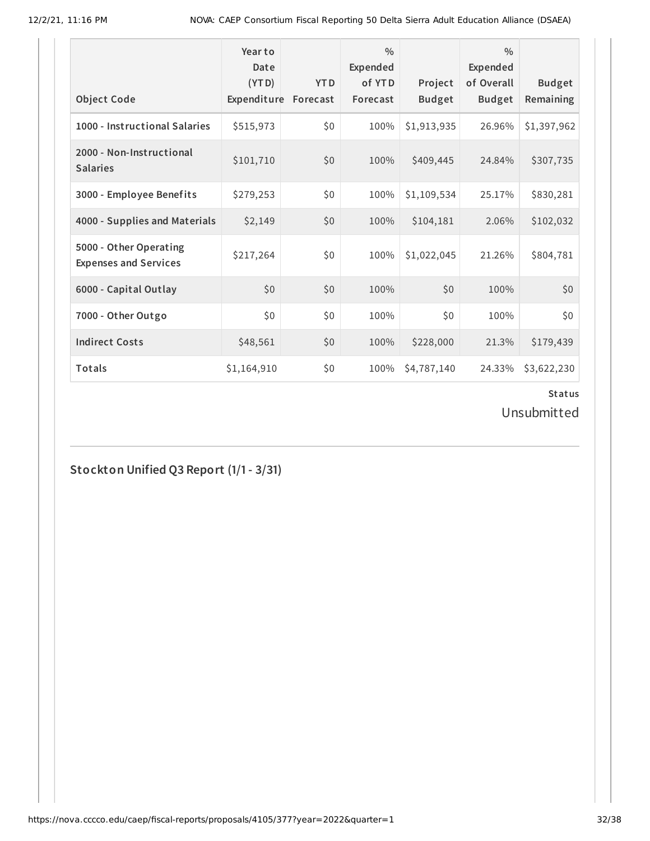|                                                        | Year to<br>Date<br>(YTD) | <b>YTD</b> | $\frac{0}{0}$<br>Expended<br>of YTD | Project       | $\frac{0}{0}$<br>Expended<br>of Overall | <b>Budget</b> |
|--------------------------------------------------------|--------------------------|------------|-------------------------------------|---------------|-----------------------------------------|---------------|
| <b>Object Code</b>                                     | Expenditure              | Forecast   | Forecast                            | <b>Budget</b> | <b>Budget</b>                           | Remaining     |
| 1000 - Instructional Salaries                          | \$515,973                | \$0        | 100%                                | \$1,913,935   | 26.96%                                  | \$1,397,962   |
| 2000 - Non-Instructional<br><b>Salaries</b>            | \$101,710                | \$0        | 100%                                | \$409,445     | 24.84%                                  | \$307,735     |
| 3000 - Employee Benefits                               | \$279,253                | \$0        | 100%                                | \$1,109,534   | 25.17%                                  | \$830,281     |
| 4000 - Supplies and Materials                          | \$2,149                  | \$0        | 100%                                | \$104,181     | 2.06%                                   | \$102,032     |
| 5000 - Other Operating<br><b>Expenses and Services</b> | \$217,264                | \$0        | 100%                                | \$1,022,045   | 21.26%                                  | \$804,781     |
| 6000 - Capital Outlay                                  | \$0                      | \$0        | 100%                                | \$0           | 100%                                    | \$0           |
| 7000 - Other Outgo                                     | \$0                      | \$0        | 100%                                | \$0           | 100%                                    | \$0           |
| <b>Indirect Costs</b>                                  | \$48,561                 | \$0        | 100%                                | \$228,000     | 21.3%                                   | \$179,439     |
| Totals                                                 | \$1,164,910              | \$0        | 100%                                | \$4,787,140   | 24.33%                                  | \$3,622,230   |

Unsubmitted

**Stockton Unified Q3 Report (1/1- 3/31)**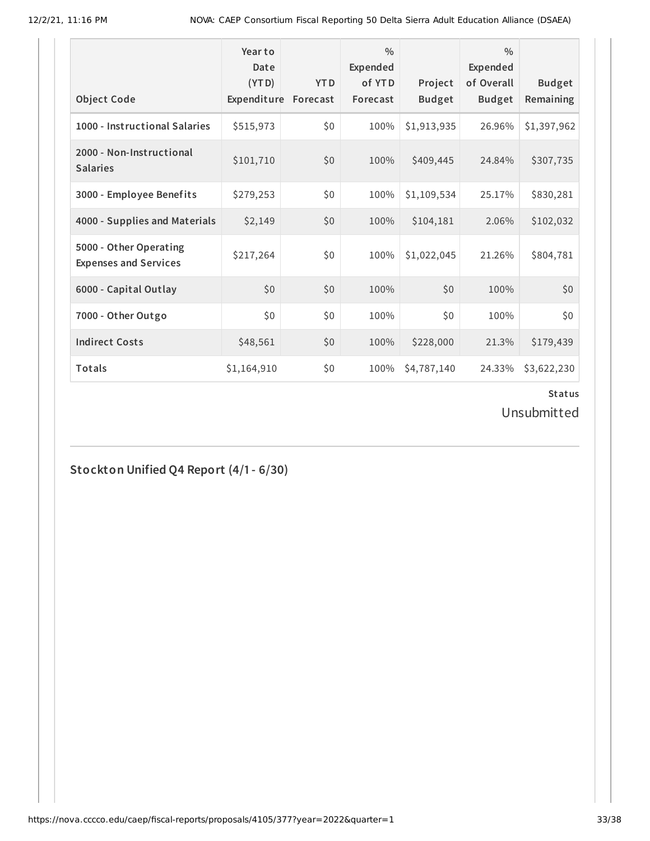| <b>Object Code</b>                                     | Year to<br>Date<br>(YTD)<br>Expenditure | <b>YTD</b><br>Forecast | $\frac{0}{0}$<br>Expended<br>of YTD<br>Forecast | Project<br><b>Budget</b> | $\frac{0}{0}$<br>Expended<br>of Overall<br><b>Budget</b> | <b>Budget</b><br>Remaining |
|--------------------------------------------------------|-----------------------------------------|------------------------|-------------------------------------------------|--------------------------|----------------------------------------------------------|----------------------------|
| 1000 - Instructional Salaries                          | \$515,973                               | \$0                    | 100%                                            | \$1,913,935              | 26.96%                                                   | \$1,397,962                |
| 2000 - Non-Instructional<br><b>Salaries</b>            | \$101,710                               | \$0                    | 100%                                            | \$409,445                | 24.84%                                                   | \$307,735                  |
| 3000 - Employee Benefits                               | \$279,253                               | \$0                    | 100%                                            | \$1,109,534              | 25.17%                                                   | \$830,281                  |
| 4000 - Supplies and Materials                          | \$2,149                                 | \$0                    | 100%                                            | \$104,181                | 2.06%                                                    | \$102,032                  |
| 5000 - Other Operating<br><b>Expenses and Services</b> | \$217,264                               | \$0                    | 100%                                            | \$1,022,045              | 21.26%                                                   | \$804,781                  |
| 6000 - Capital Outlay                                  | \$0                                     | \$0                    | 100%                                            | \$0                      | 100%                                                     | \$0                        |
| 7000 - Other Outgo                                     | \$0                                     | \$0                    | 100%                                            | \$0                      | 100%                                                     | \$0                        |
| <b>Indirect Costs</b>                                  | \$48,561                                | \$0                    | 100%                                            | \$228,000                | 21.3%                                                    | \$179,439                  |
| Totals                                                 | \$1,164,910                             | \$0                    | 100%                                            | \$4,787,140              | 24.33%                                                   | \$3,622,230                |

Unsubmitted

**Stockton Unified Q4 Report (4/1- 6/30)**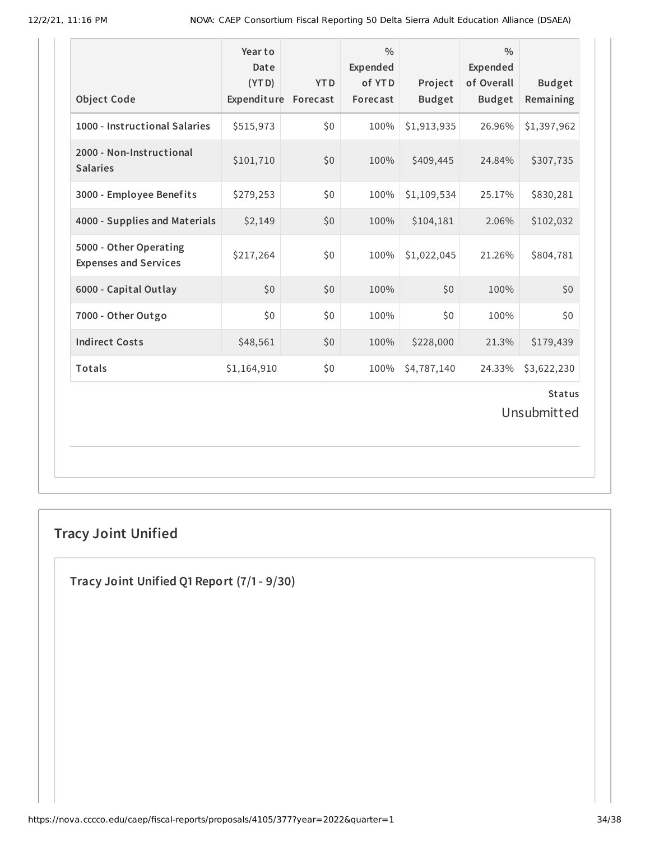| <b>Object Code</b>                                     | Year to<br>Date<br>(YTD)<br>Expenditure Forecast | <b>YTD</b> | $\frac{0}{0}$<br>Expended<br>of YTD<br>Forecast | Project<br><b>Budget</b> | $\frac{0}{0}$<br>Expended<br>of Overall<br><b>Budget</b> | <b>Budget</b><br>Remaining |  |  |
|--------------------------------------------------------|--------------------------------------------------|------------|-------------------------------------------------|--------------------------|----------------------------------------------------------|----------------------------|--|--|
| 1000 - Instructional Salaries                          | \$515,973                                        | \$0        | 100%                                            | \$1,913,935              | 26.96%                                                   | \$1,397,962                |  |  |
| 2000 - Non-Instructional<br><b>Salaries</b>            | \$101,710                                        | \$0        | 100%                                            | \$409,445                | 24.84%                                                   | \$307,735                  |  |  |
| 3000 - Employee Benefits                               | \$279,253                                        | \$0        | 100%                                            | \$1,109,534              | 25.17%                                                   | \$830,281                  |  |  |
| 4000 - Supplies and Materials                          | \$2,149                                          | \$0        | 100%                                            | \$104,181                | 2.06%                                                    | \$102,032                  |  |  |
| 5000 - Other Operating<br><b>Expenses and Services</b> | \$217,264                                        | \$0        | 100%                                            | \$1,022,045              | 21.26%                                                   | \$804,781                  |  |  |
| 6000 - Capital Outlay                                  | \$0\$                                            | \$0        | 100%                                            | \$0                      | 100%                                                     | \$0                        |  |  |
| 7000 - Other Outgo                                     | \$0                                              | \$0        | 100%                                            | \$0                      | 100%                                                     | \$0                        |  |  |
| <b>Indirect Costs</b>                                  | \$48,561                                         | \$0        | 100%                                            | \$228,000                | 21.3%                                                    | \$179,439                  |  |  |
| Totals                                                 | \$1,164,910                                      | \$0        | 100%                                            | \$4,787,140              | 24.33%                                                   | \$3,622,230                |  |  |
| <b>Status</b><br>Unsubmitted                           |                                                  |            |                                                 |                          |                                                          |                            |  |  |

# **Tracy Joint Unified**

**Tracy Joint Unified Q1 Report (7/1- 9/30)**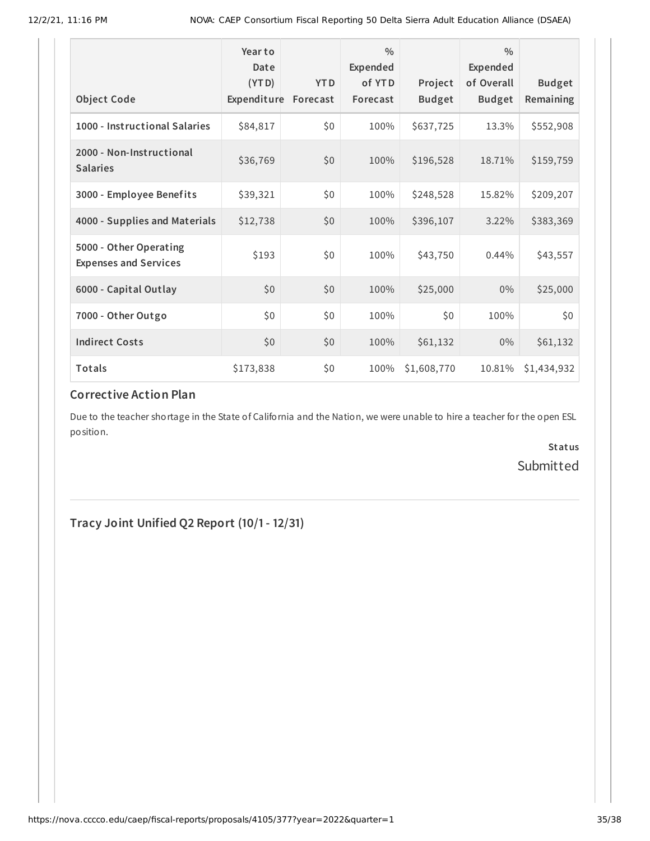|                                                        | Year to<br>Date<br>(YTD) | <b>YTD</b> | $\frac{0}{0}$<br>Expended<br>of YTD | Project       | $\frac{0}{0}$<br><b>Expended</b><br>of Overall | <b>Budget</b> |
|--------------------------------------------------------|--------------------------|------------|-------------------------------------|---------------|------------------------------------------------|---------------|
| <b>Object Code</b>                                     | Expenditure              | Forecast   | Forecast                            | <b>Budget</b> | <b>Budget</b>                                  | Remaining     |
| 1000 - Instructional Salaries                          | \$84,817                 | \$0        | 100%                                | \$637,725     | 13.3%                                          | \$552,908     |
| 2000 - Non-Instructional<br><b>Salaries</b>            | \$36,769                 | \$0        | 100%                                | \$196,528     | 18.71%                                         | \$159,759     |
| 3000 - Employee Benefits                               | \$39,321                 | \$0        | 100%                                | \$248,528     | 15.82%                                         | \$209,207     |
| 4000 - Supplies and Materials                          | \$12,738                 | \$0        | 100%                                | \$396,107     | 3.22%                                          | \$383,369     |
| 5000 - Other Operating<br><b>Expenses and Services</b> | \$193                    | \$0        | 100%                                | \$43,750      | 0.44%                                          | \$43,557      |
| 6000 - Capital Outlay                                  | \$0                      | \$0        | 100%                                | \$25,000      | $0\%$                                          | \$25,000      |
| 7000 - Other Outgo                                     | \$0                      | \$0        | 100%                                | \$0           | 100%                                           | \$0           |
| <b>Indirect Costs</b>                                  | \$0                      | \$0        | 100%                                | \$61,132      | $0\%$                                          | \$61,132      |
| Totals                                                 | \$173,838                | \$0        | 100%                                | \$1,608,770   | 10.81%                                         | \$1,434,932   |

# **Corrective Action Plan**

Due to the teacher shortage in the State of California and the Nation, we were unable to hire a teacher for the open ESL position.

> **Status** Submitted

**Tracy Joint Unified Q2 Report (10/1- 12/31)**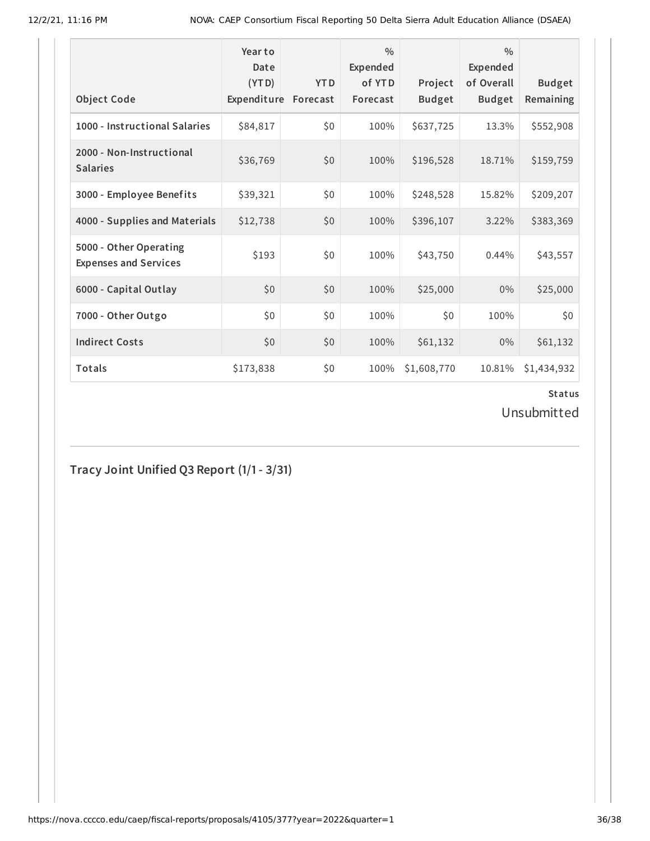| <b>Object Code</b>                                     | Year to<br>Date<br>(YTD)<br>Expenditure | <b>YTD</b><br>Forecast | $\frac{0}{0}$<br>Expended<br>of YTD<br>Forecast | Project<br><b>Budget</b> | $\frac{0}{0}$<br>Expended<br>of Overall<br><b>Budget</b> | <b>Budget</b><br>Remaining |
|--------------------------------------------------------|-----------------------------------------|------------------------|-------------------------------------------------|--------------------------|----------------------------------------------------------|----------------------------|
| 1000 - Instructional Salaries                          | \$84,817                                | \$0                    | 100%                                            | \$637,725                | 13.3%                                                    | \$552,908                  |
| 2000 - Non-Instructional<br><b>Salaries</b>            | \$36,769                                | \$0                    | 100%                                            | \$196,528                | 18.71%                                                   | \$159,759                  |
| 3000 - Employee Benefits                               | \$39,321                                | \$0                    | 100%                                            | \$248,528                | 15.82%                                                   | \$209,207                  |
| 4000 - Supplies and Materials                          | \$12,738                                | \$0                    | 100%                                            | \$396,107                | 3.22%                                                    | \$383,369                  |
| 5000 - Other Operating<br><b>Expenses and Services</b> | \$193                                   | \$0                    | 100%                                            | \$43,750                 | 0.44%                                                    | \$43,557                   |
| 6000 - Capital Outlay                                  | \$0                                     | \$0                    | 100%                                            | \$25,000                 | $0\%$                                                    | \$25,000                   |
| 7000 - Other Outgo                                     | \$0                                     | \$0                    | 100%                                            | \$0                      | 100%                                                     | \$0                        |
| <b>Indirect Costs</b>                                  | \$0                                     | \$0                    | 100%                                            | \$61,132                 | $0\%$                                                    | \$61,132                   |
| Totals                                                 | \$173,838                               | \$0                    | 100%                                            | \$1,608,770              | 10.81%                                                   | \$1,434,932                |

Unsubmitted

**Tracy Joint Unified Q3 Report (1/1- 3/31)**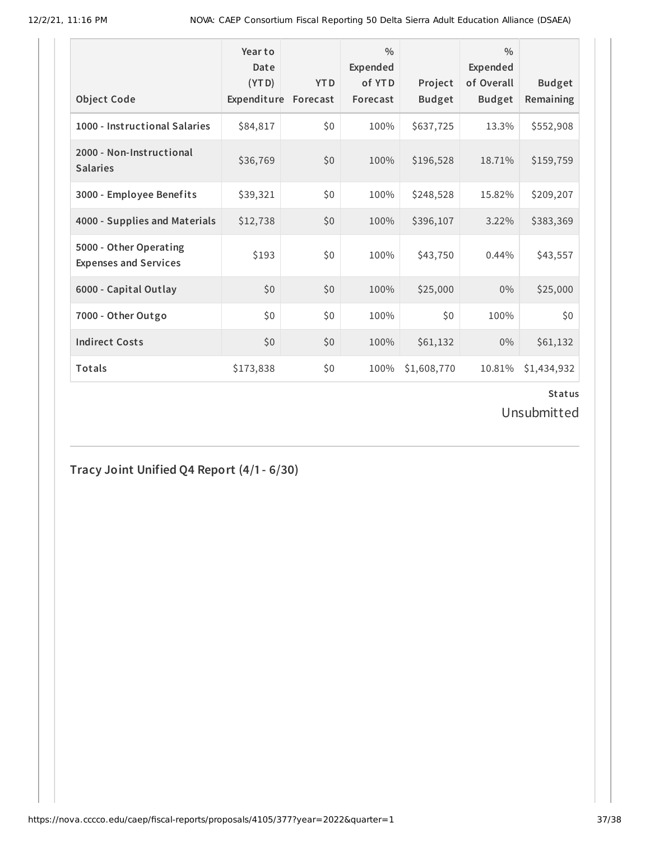| <b>Object Code</b>                                     | Year to<br>Date<br>(YTD)<br>Expenditure | <b>YTD</b><br>Forecast | $\frac{0}{0}$<br>Expended<br>of YTD<br>Forecast | Project<br><b>Budget</b> | $\frac{0}{0}$<br>Expended<br>of Overall<br><b>Budget</b> | <b>Budget</b><br>Remaining |
|--------------------------------------------------------|-----------------------------------------|------------------------|-------------------------------------------------|--------------------------|----------------------------------------------------------|----------------------------|
| 1000 - Instructional Salaries                          | \$84,817                                | \$0                    | 100%                                            | \$637,725                | 13.3%                                                    | \$552,908                  |
| 2000 - Non-Instructional<br><b>Salaries</b>            | \$36,769                                | \$0                    | 100%                                            | \$196,528                | 18.71%                                                   | \$159,759                  |
| 3000 - Employee Benefits                               | \$39,321                                | \$0                    | 100%                                            | \$248,528                | 15.82%                                                   | \$209,207                  |
| 4000 - Supplies and Materials                          | \$12,738                                | \$0                    | 100%                                            | \$396,107                | 3.22%                                                    | \$383,369                  |
| 5000 - Other Operating<br><b>Expenses and Services</b> | \$193                                   | \$0                    | 100%                                            | \$43,750                 | 0.44%                                                    | \$43,557                   |
| 6000 - Capital Outlay                                  | \$0                                     | \$0                    | 100%                                            | \$25,000                 | $0\%$                                                    | \$25,000                   |
| 7000 - Other Outgo                                     | \$0                                     | \$0                    | 100%                                            | \$0                      | 100%                                                     | \$0                        |
| <b>Indirect Costs</b>                                  | \$0                                     | \$0                    | 100%                                            | \$61,132                 | $0\%$                                                    | \$61,132                   |
| Totals                                                 | \$173,838                               | \$0                    | 100%                                            | \$1,608,770              | 10.81%                                                   | \$1,434,932                |

Unsubmitted

**Tracy Joint Unified Q4 Report (4/1- 6/30)**